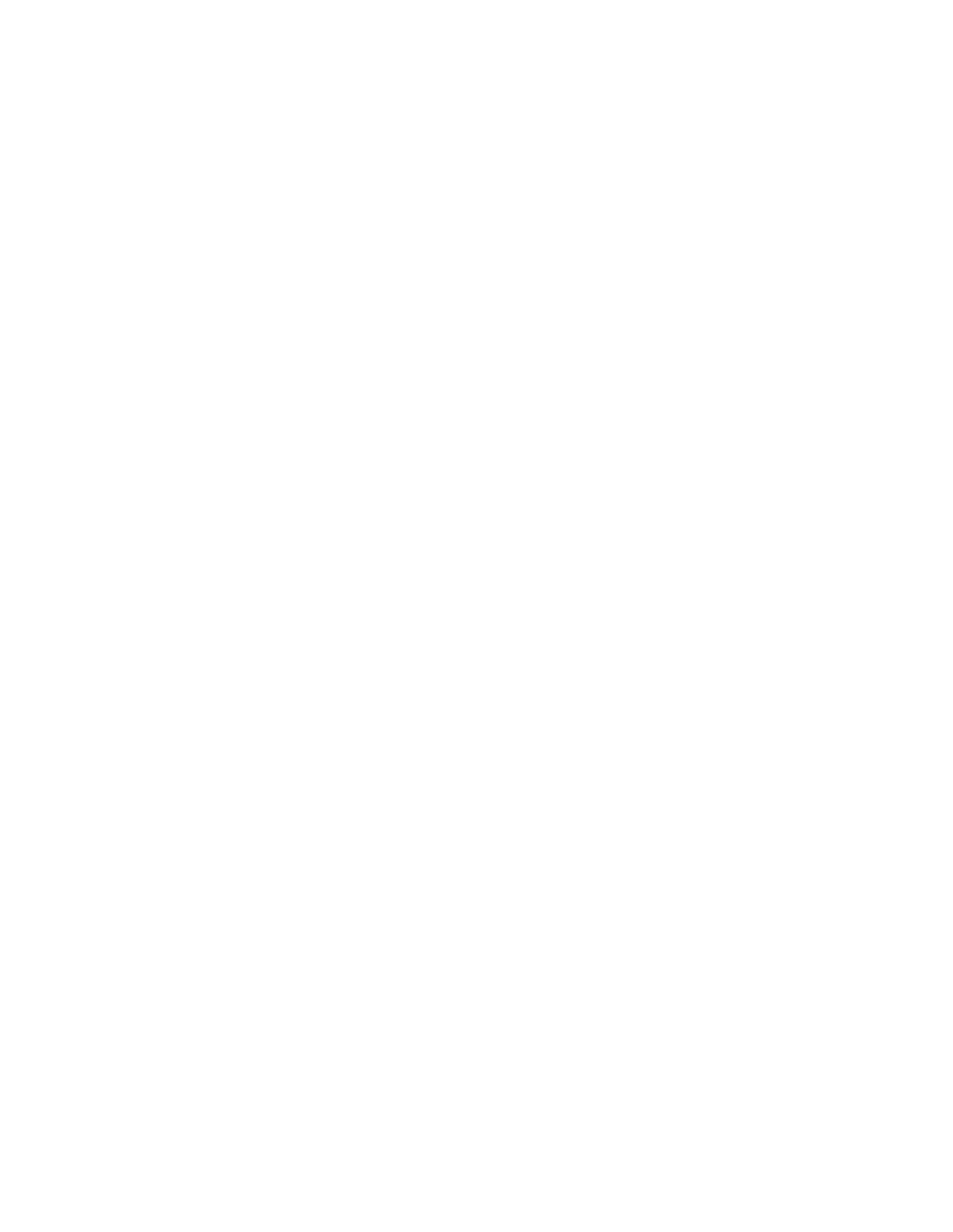



**Budget Statement 2011**







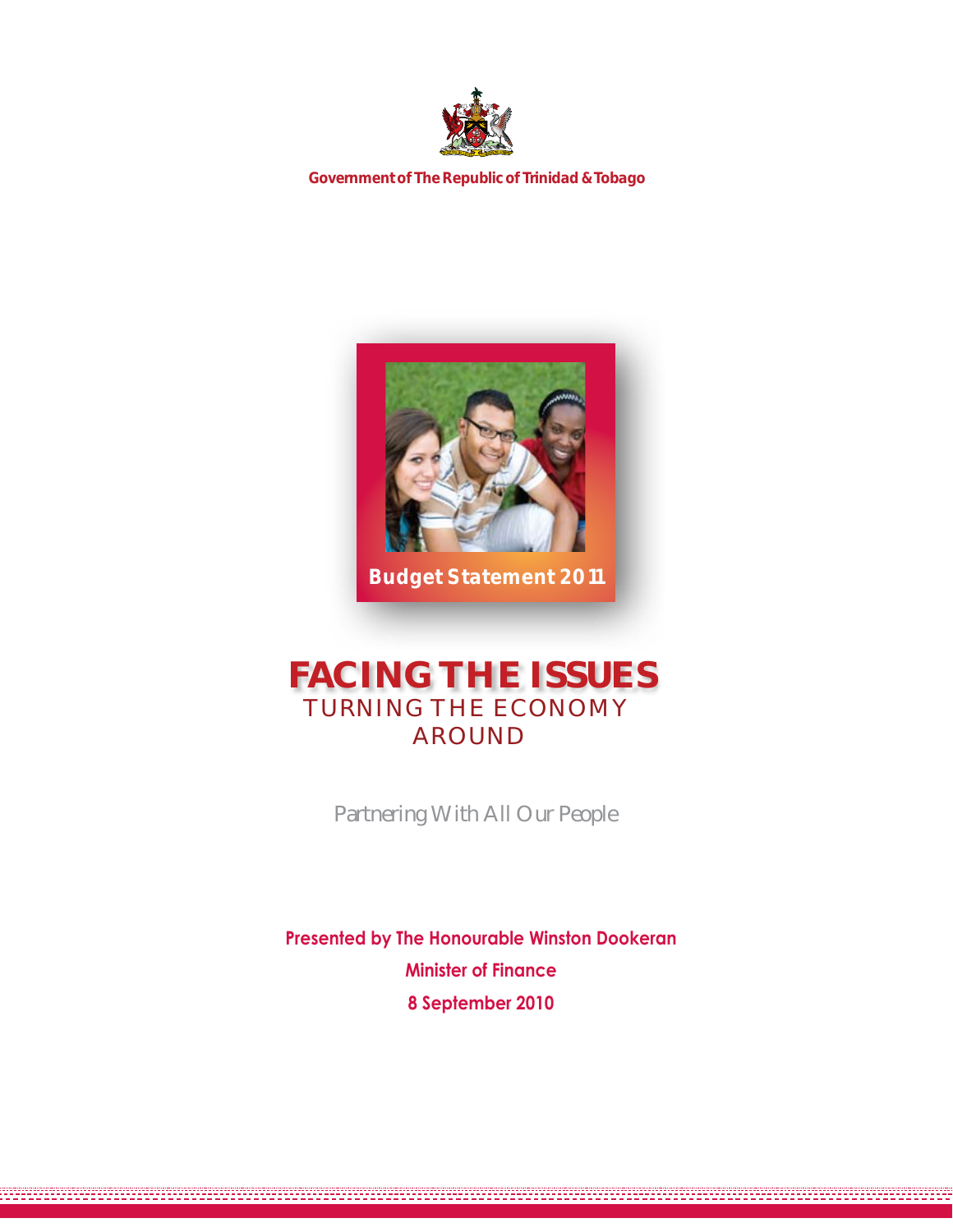

**Government of The Republic of Trinidad & Tobago**



**Budget Statement 2011**

# TURNING THE ECONOMY AROUND **FACING THE ISSUES**

Partnering With All Our People

**Presented by The Honourable Winston Dookeran Minister of Finance 8 September 2010**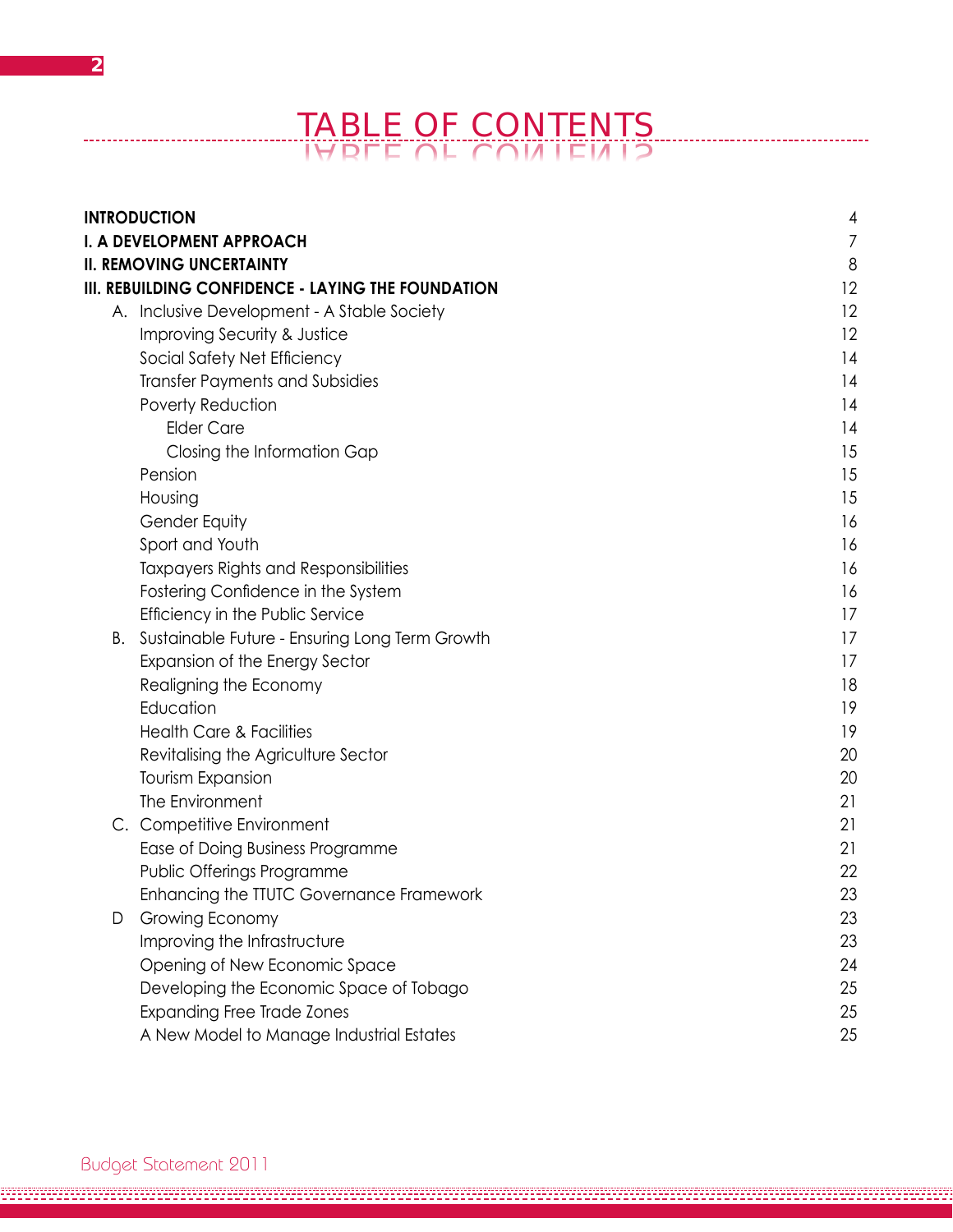# Table of Contents Table of Contents

|   | <b>INTRODUCTION</b>                                | 4              |
|---|----------------------------------------------------|----------------|
|   | I. A DEVELOPMENT APPROACH                          | $\overline{7}$ |
|   | <b>II. REMOVING UNCERTAINTY</b>                    | 8              |
|   | III. REBUILDING CONFIDENCE - LAYING THE FOUNDATION | 12             |
|   | A. Inclusive Development - A Stable Society        | 12             |
|   | <b>Improving Security &amp; Justice</b>            | 12             |
|   | Social Safety Net Efficiency                       | 14             |
|   | <b>Transfer Payments and Subsidies</b>             | 14             |
|   | Poverty Reduction                                  | 14             |
|   | <b>Elder Care</b>                                  | 14             |
|   | Closing the Information Gap                        | 15             |
|   | Pension                                            | 15             |
|   | Housing                                            | 15             |
|   | Gender Equity                                      | 16             |
|   | Sport and Youth                                    | 16             |
|   | <b>Taxpayers Rights and Responsibilities</b>       | 16             |
|   | Fostering Confidence in the System                 | 16             |
|   | Efficiency in the Public Service                   | 17             |
|   | B. Sustainable Future - Ensuring Long Term Growth  | 17             |
|   | Expansion of the Energy Sector                     | 17             |
|   | Realigning the Economy                             | 18             |
|   | Education                                          | 19             |
|   | <b>Health Care &amp; Facilities</b>                | 19             |
|   | Revitalising the Agriculture Sector                | 20             |
|   | Tourism Expansion                                  | 20             |
|   | The Environment                                    | 21             |
|   | C. Competitive Environment                         | 21             |
|   | Ease of Doing Business Programme                   | 21             |
|   | Public Offerings Programme                         | 22             |
|   | Enhancing the TTUTC Governance Framework           | 23             |
| D | Growing Economy                                    | 23             |
|   | Improving the Infrastructure                       | 23             |
|   | Opening of New Economic Space                      | 24             |
|   | Developing the Economic Space of Tobago            | 25             |
|   | <b>Expanding Free Trade Zones</b>                  | 25             |
|   | A New Model to Manage Industrial Estates           | 25             |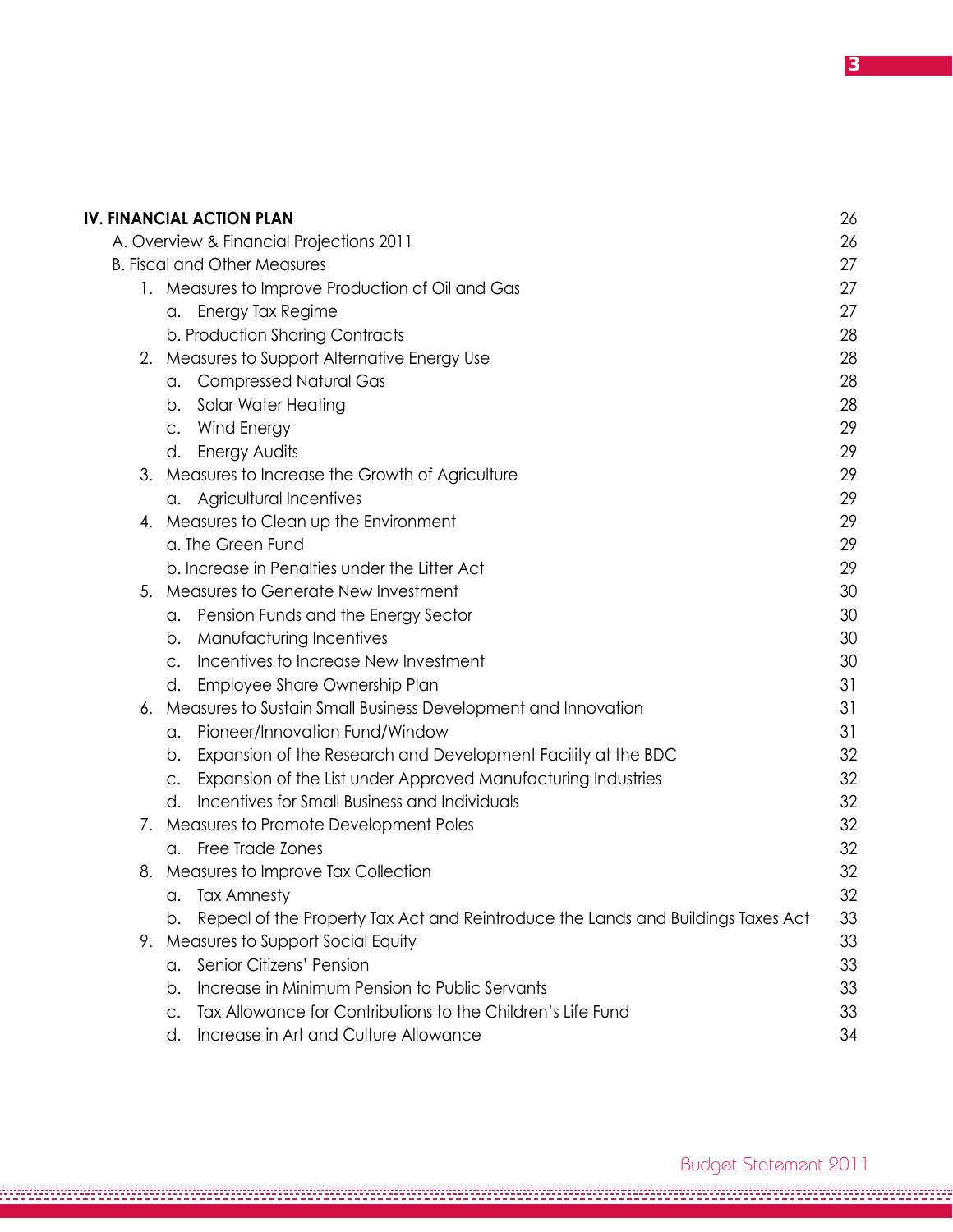|    | IV. FINANCIAL ACTION PLAN                                                              | 26 |
|----|----------------------------------------------------------------------------------------|----|
|    | A. Overview & Financial Projections 2011                                               | 26 |
|    | <b>B. Fiscal and Other Measures</b>                                                    | 27 |
|    | 1. Measures to Improve Production of Oil and Gas                                       | 27 |
|    | Energy Tax Regime<br>а.                                                                | 27 |
|    | b. Production Sharing Contracts                                                        | 28 |
| 2. | Measures to Support Alternative Energy Use                                             | 28 |
|    | a. Compressed Natural Gas                                                              | 28 |
|    | <b>Solar Water Heating</b><br>b.                                                       | 28 |
|    | c. Wind Energy                                                                         | 29 |
|    | Energy Audits<br>d.                                                                    | 29 |
| 3. | Measures to Increase the Growth of Agriculture                                         | 29 |
|    | a. Agricultural Incentives                                                             | 29 |
| 4. | Measures to Clean up the Environment                                                   | 29 |
|    | a. The Green Fund                                                                      | 29 |
|    | b. Increase in Penalties under the Litter Act                                          | 29 |
| 5. | Measures to Generate New Investment                                                    | 30 |
|    | Pension Funds and the Energy Sector<br>а.                                              | 30 |
|    | Manufacturing Incentives<br>b.                                                         | 30 |
|    | Incentives to Increase New Investment<br>$C_{\star}$                                   | 30 |
|    | Employee Share Ownership Plan<br>d.                                                    | 31 |
|    | Measures to Sustain Small Business Development and Innovation                          | 31 |
|    | Pioneer/Innovation Fund/Window<br>a.                                                   | 31 |
|    | Expansion of the Research and Development Facility at the BDC<br>b.                    | 32 |
|    | Expansion of the List under Approved Manufacturing Industries<br>C.                    | 32 |
|    | Incentives for Small Business and Individuals<br>d.                                    | 32 |
| 7. | Measures to Promote Development Poles                                                  | 32 |
|    | a. Free Trade Zones                                                                    | 32 |
| 8. | Measures to Improve Tax Collection                                                     | 32 |
|    | <b>Tax Amnesty</b><br>а.                                                               | 32 |
|    | Repeal of the Property Tax Act and Reintroduce the Lands and Buildings Taxes Act<br>b. | 33 |
| 9. | Measures to Support Social Equity                                                      | 33 |
|    | Senior Citizens' Pension<br>α.                                                         | 33 |
|    | Increase in Minimum Pension to Public Servants<br>b.                                   | 33 |
|    | Tax Allowance for Contributions to the Children's Life Fund<br>C.                      | 33 |
|    | Increase in Art and Culture Allowance<br>d.                                            | 34 |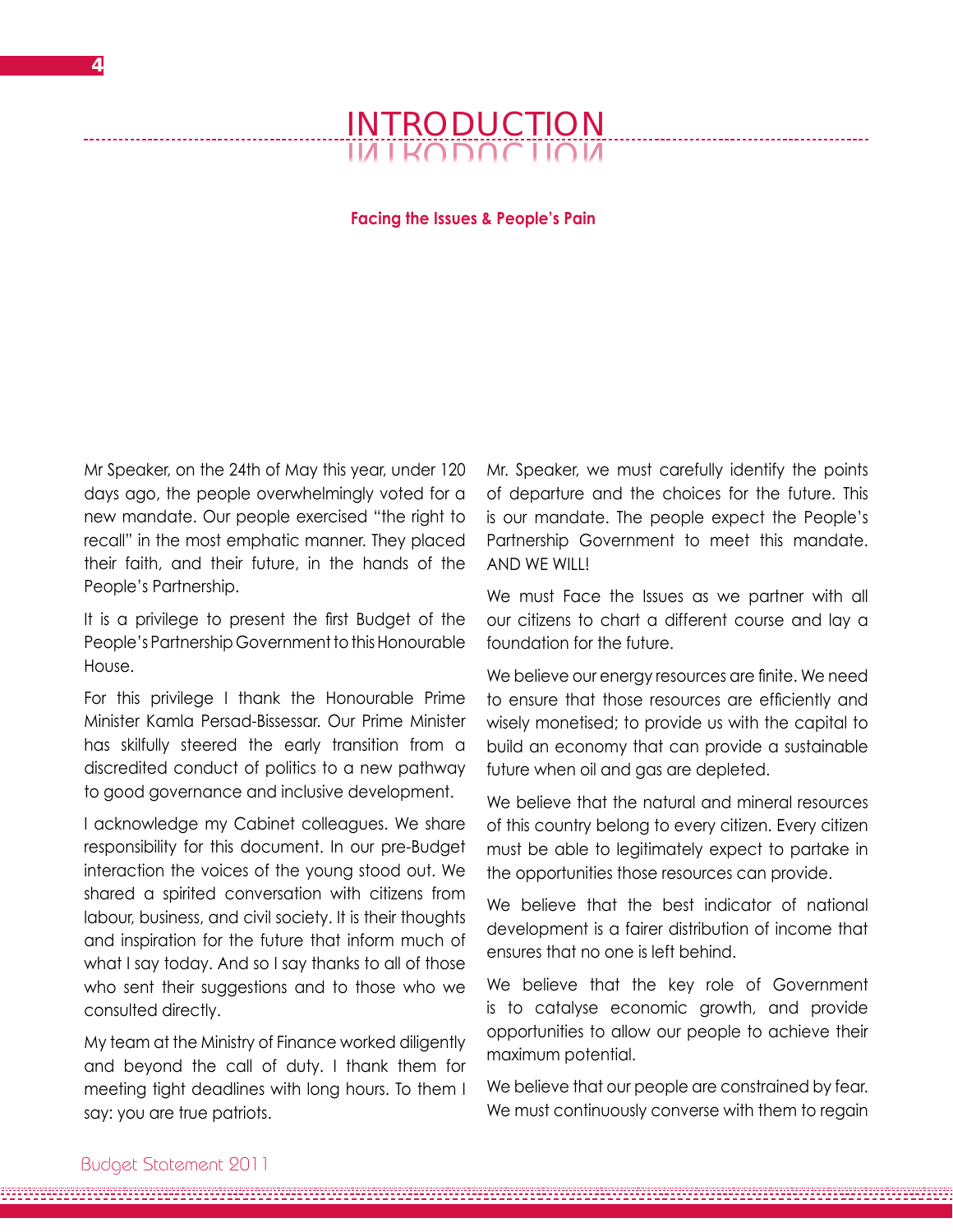# INTRODUCTION

#### **Facing the Issues & People's Pain**

Mr Speaker, on the 24th of May this year, under 120 days ago, the people overwhelmingly voted for a new mandate. Our people exercised "the right to recall" in the most emphatic manner. They placed their faith, and their future, in the hands of the People's Partnership.

It is a privilege to present the first Budget of the People's Partnership Government to this Honourable House.

For this privilege I thank the Honourable Prime Minister Kamla Persad-Bissessar. Our Prime Minister has skilfully steered the early transition from a discredited conduct of politics to a new pathway to good governance and inclusive development.

I acknowledge my Cabinet colleagues. We share responsibility for this document. In our pre-Budget interaction the voices of the young stood out. We shared a spirited conversation with citizens from labour, business, and civil society. It is their thoughts and inspiration for the future that inform much of what I say today. And so I say thanks to all of those who sent their suggestions and to those who we consulted directly.

My team at the Ministry of Finance worked diligently and beyond the call of duty. I thank them for meeting tight deadlines with long hours. To them I say: you are true patriots.

Mr. Speaker, we must carefully identify the points of departure and the choices for the future. This is our mandate. The people expect the People's Partnership Government to meet this mandate. AND WE WILL!

We must Face the Issues as we partner with all our citizens to chart a different course and lay a foundation for the future.

We believe our energy resources are finite. We need to ensure that those resources are efficiently and wisely monetised; to provide us with the capital to build an economy that can provide a sustainable future when oil and gas are depleted.

We believe that the natural and mineral resources of this country belong to every citizen. Every citizen must be able to legitimately expect to partake in the opportunities those resources can provide.

We believe that the best indicator of national development is a fairer distribution of income that ensures that no one is left behind.

We believe that the key role of Government is to catalyse economic growth, and provide opportunities to allow our people to achieve their maximum potential.

We believe that our people are constrained by fear. We must continuously converse with them to regain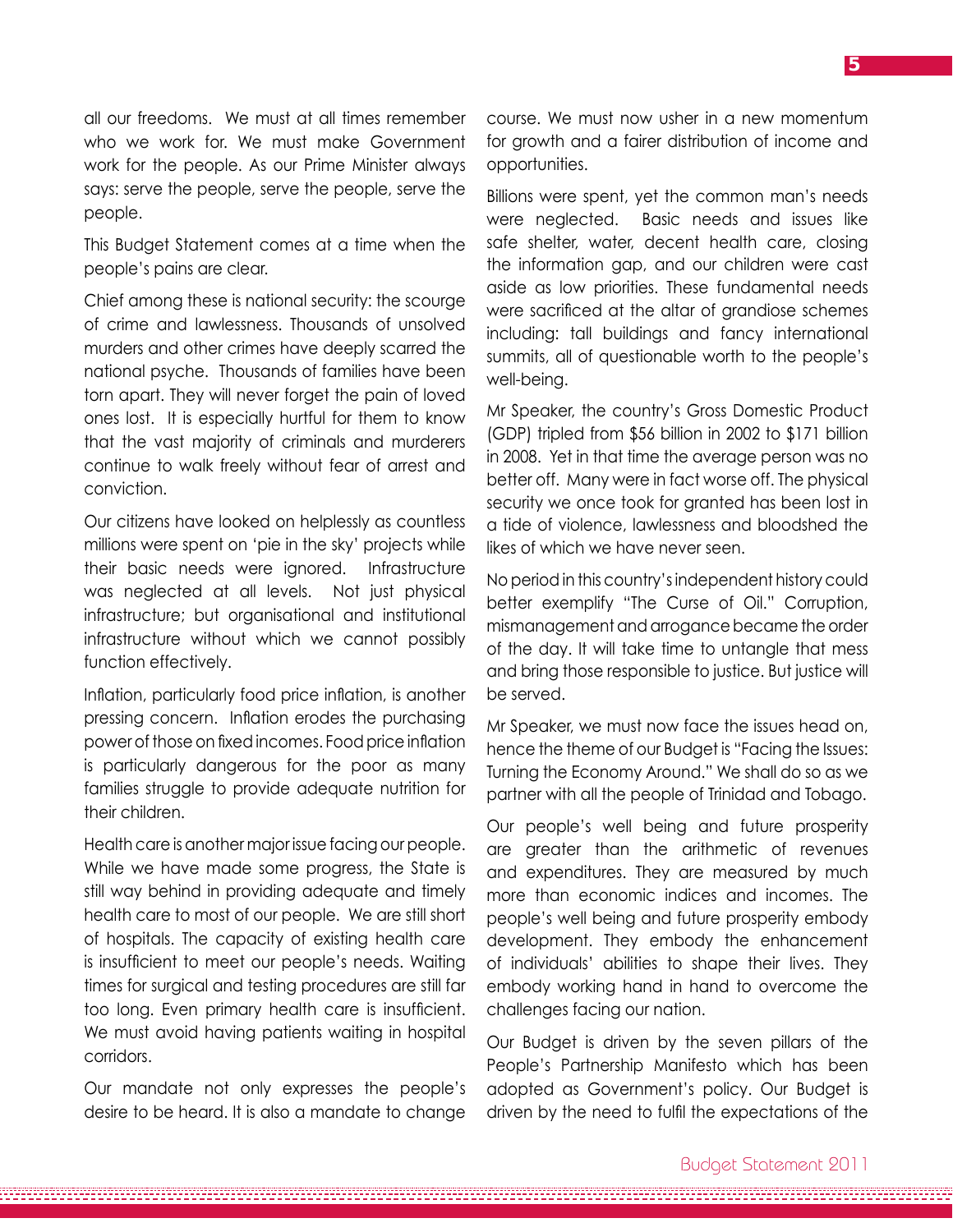all our freedoms. We must at all times remember who we work for. We must make Government work for the people. As our Prime Minister always says: serve the people, serve the people, serve the people.

This Budget Statement comes at a time when the people's pains are clear.

Chief among these is national security: the scourge of crime and lawlessness. Thousands of unsolved murders and other crimes have deeply scarred the national psyche. Thousands of families have been torn apart. They will never forget the pain of loved ones lost. It is especially hurtful for them to know that the vast majority of criminals and murderers continue to walk freely without fear of arrest and conviction.

Our citizens have looked on helplessly as countless millions were spent on 'pie in the sky' projects while their basic needs were ignored. Infrastructure was neglected at all levels. Not just physical infrastructure; but organisational and institutional infrastructure without which we cannot possibly function effectively.

Inflation, particularly food price inflation, is another pressing concern. Inflation erodes the purchasing power of those on fixed incomes. Food price inflation is particularly dangerous for the poor as many families struggle to provide adequate nutrition for their children.

Health care is another major issue facing our people. While we have made some progress, the State is still way behind in providing adequate and timely health care to most of our people. We are still short of hospitals. The capacity of existing health care is insufficient to meet our people's needs. Waiting times for surgical and testing procedures are still far too long. Even primary health care is insufficient. We must avoid having patients waiting in hospital corridors.

Our mandate not only expresses the people's desire to be heard. It is also a mandate to change course. We must now usher in a new momentum for growth and a fairer distribution of income and opportunities.

Billions were spent, yet the common man's needs were neglected. Basic needs and issues like safe shelter, water, decent health care, closing the information gap, and our children were cast aside as low priorities. These fundamental needs were sacrificed at the altar of grandiose schemes including: tall buildings and fancy international summits, all of questionable worth to the people's well-being.

Mr Speaker, the country's Gross Domestic Product (GDP) tripled from \$56 billion in 2002 to \$171 billion in 2008. Yet in that time the average person was no better off. Many were in fact worse off. The physical security we once took for granted has been lost in a tide of violence, lawlessness and bloodshed the likes of which we have never seen.

No period in this country's independent history could better exemplify "The Curse of Oil." Corruption, mismanagement and arrogance became the order of the day. It will take time to untangle that mess and bring those responsible to justice. But justice will be served.

Mr Speaker, we must now face the issues head on, hence the theme of our Budget is "Facing the Issues: Turning the Economy Around." We shall do so as we partner with all the people of Trinidad and Tobago.

Our people's well being and future prosperity are greater than the arithmetic of revenues and expenditures. They are measured by much more than economic indices and incomes. The people's well being and future prosperity embody development. They embody the enhancement of individuals' abilities to shape their lives. They embody working hand in hand to overcome the challenges facing our nation.

Our Budget is driven by the seven pillars of the People's Partnership Manifesto which has been adopted as Government's policy. Our Budget is driven by the need to fulfil the expectations of the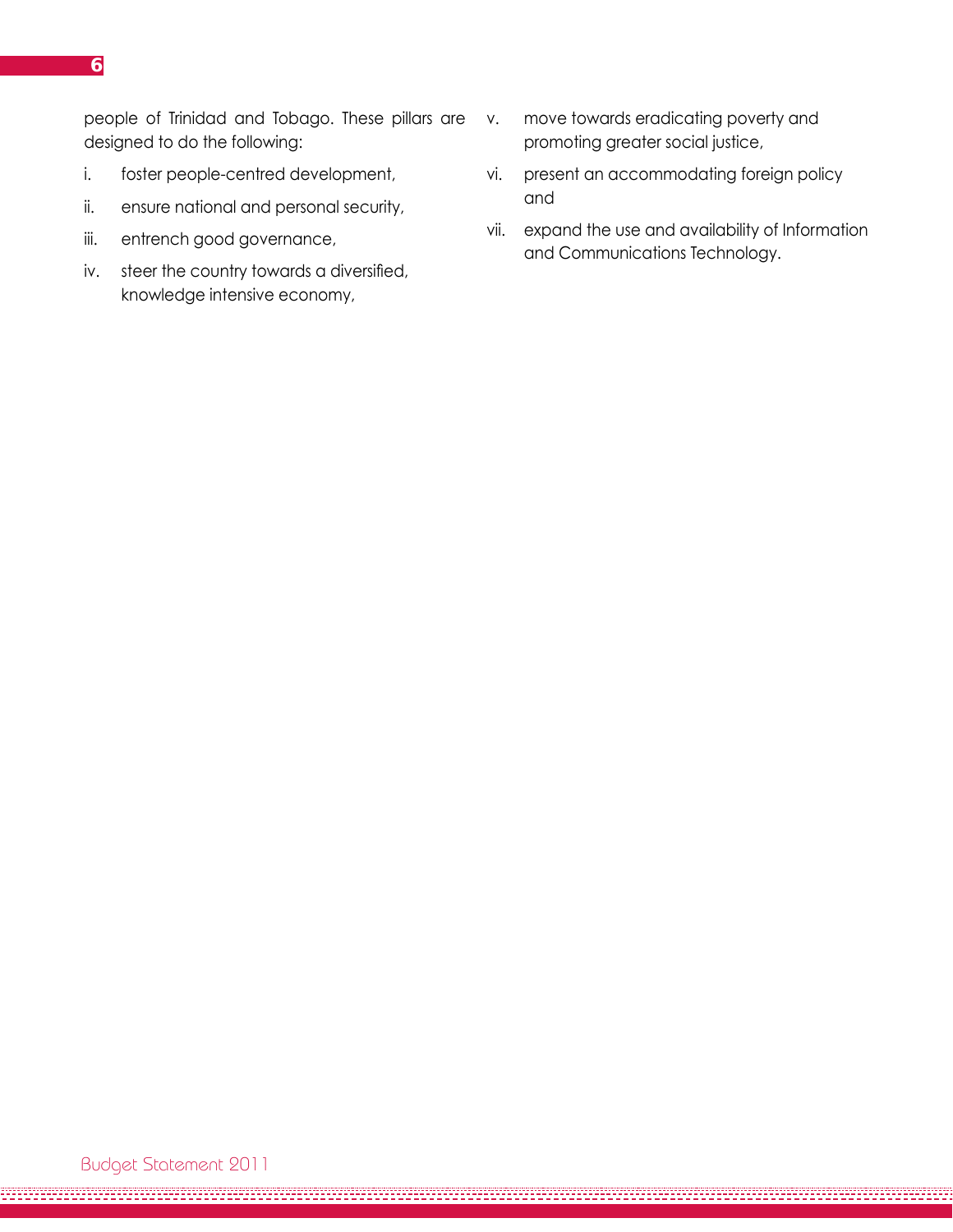people of Trinidad and Tobago. These pillars are designed to do the following:

- i. foster people-centred development,
- ii. ensure national and personal security,
- iii. entrench good governance,
- iv. steer the country towards a diversified, knowledge intensive economy,
- v. move towards eradicating poverty and promoting greater social justice,
- vi. present an accommodating foreign policy and
- vii. expand the use and availability of Information and Communications Technology.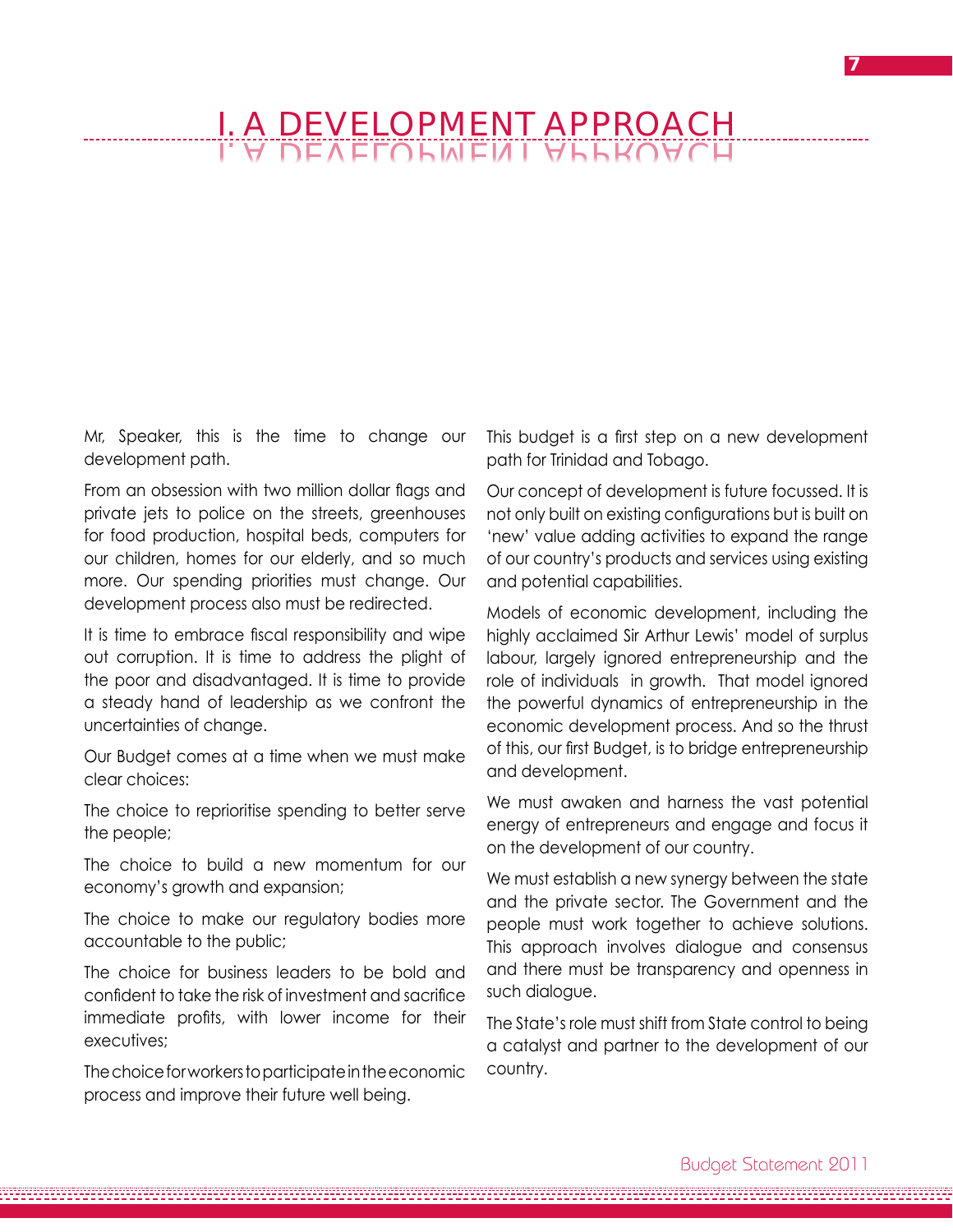# I. A DEVELOPMENT APPROACH l<br>.

Mr, Speaker, this is the time to change our development path.

From an obsession with two million dollar flags and private jets to police on the streets, greenhouses for food production, hospital beds, computers for our children, homes for our elderly, and so much more. Our spending priorities must change. Our development process also must be redirected.

It is time to embrace fiscal responsibility and wipe out corruption. It is time to address the plight of the poor and disadvantaged. It is time to provide a steady hand of leadership as we confront the uncertainties of change.

Our Budget comes at a time when we must make clear choices:

The choice to reprioritise spending to better serve the people;

The choice to build a new momentum for our economy's growth and expansion;

The choice to make our regulatory bodies more accountable to the public;

The choice for business leaders to be bold and confident to take the risk of investment and sacrifice immediate profits, with lower income for their executives;

The choice for workers to participate in the economic process and improve their future well being.

This budget is a first step on a new development path for Trinidad and Tobago.

**7**

Our concept of development is future focussed. It is not only built on existing configurations but is built on 'new' value adding activities to expand the range of our country's products and services using existing and potential capabilities.

Models of economic development, including the highly acclaimed Sir Arthur Lewis' model of surplus labour, largely ignored entrepreneurship and the role of individuals in growth. That model ignored the powerful dynamics of entrepreneurship in the economic development process. And so the thrust of this, our first Budget, is to bridge entrepreneurship and development.

We must awaken and harness the vast potential energy of entrepreneurs and engage and focus it on the development of our country.

We must establish a new synergy between the state and the private sector. The Government and the people must work together to achieve solutions. This approach involves dialogue and consensus and there must be transparency and openness in such dialogue.

The State's role must shift from State control to being a catalyst and partner to the development of our country.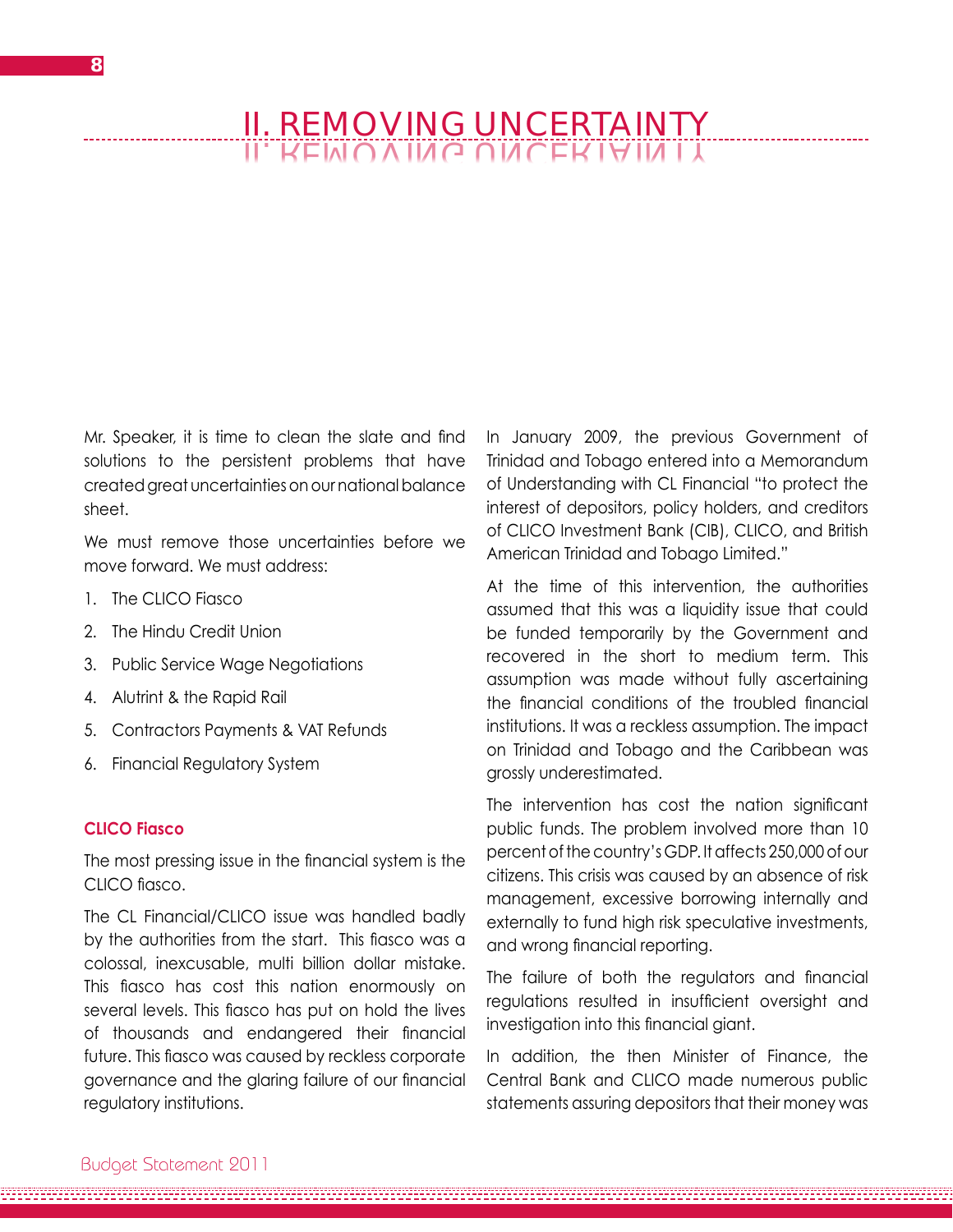# II. REMOVING UNCERTAINTY

Mr. Speaker, it is time to clean the slate and find solutions to the persistent problems that have created great uncertainties on our national balance sheet.

We must remove those uncertainties before we move forward. We must address:

- 1. The CLICO Fiasco
- 2. The Hindu Credit Union
- 3. Public Service Wage Negotiations
- 4. Alutrint & the Rapid Rail
- 5. Contractors Payments & VAT Refunds
- 6. Financial Regulatory System

#### **CLICO Fiasco**

The most pressing issue in the financial system is the CLICO fiasco.

The CL Financial/CLICO issue was handled badly by the authorities from the start. This fiasco was a colossal, inexcusable, multi billion dollar mistake. This fiasco has cost this nation enormously on several levels. This fiasco has put on hold the lives of thousands and endangered their financial future. This fiasco was caused by reckless corporate governance and the glaring failure of our financial regulatory institutions.

In January 2009, the previous Government of Trinidad and Tobago entered into a Memorandum of Understanding with CL Financial "to protect the interest of depositors, policy holders, and creditors of CLICO Investment Bank (CIB), CLICO, and British American Trinidad and Tobago Limited."

At the time of this intervention, the authorities assumed that this was a liquidity issue that could be funded temporarily by the Government and recovered in the short to medium term. This assumption was made without fully ascertaining the financial conditions of the troubled financial institutions. It was a reckless assumption. The impact on Trinidad and Tobago and the Caribbean was grossly underestimated.

The intervention has cost the nation significant public funds. The problem involved more than 10 percent of the country's GDP. It affects 250,000 of our citizens. This crisis was caused by an absence of risk management, excessive borrowing internally and externally to fund high risk speculative investments, and wrong financial reporting.

The failure of both the regulators and financial regulations resulted in insufficient oversight and investigation into this financial giant.

In addition, the then Minister of Finance, the Central Bank and CLICO made numerous public statements assuring depositors that their money was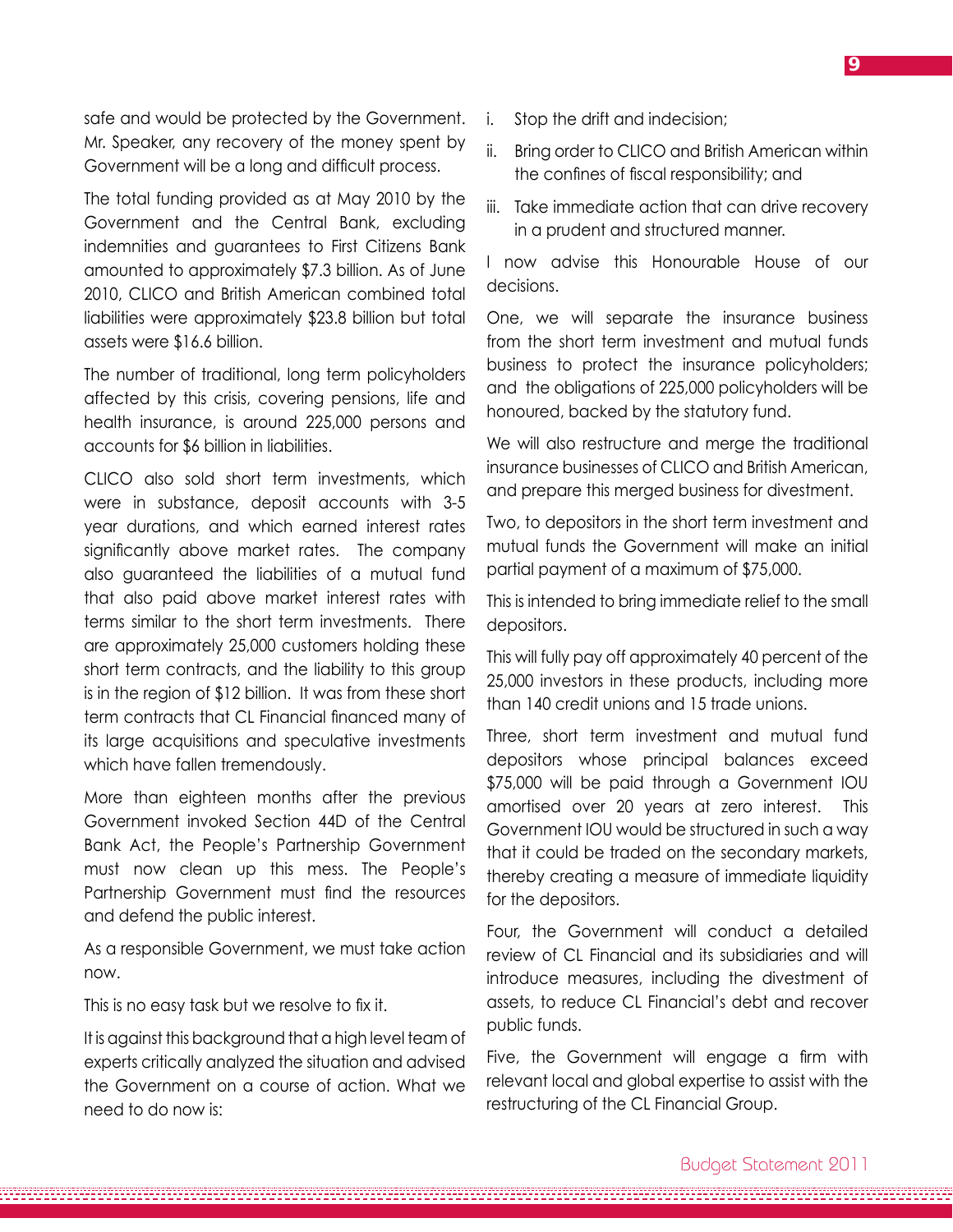safe and would be protected by the Government. Mr. Speaker, any recovery of the money spent by Government will be a long and difficult process.

The total funding provided as at May 2010 by the Government and the Central Bank, excluding indemnities and guarantees to First Citizens Bank amounted to approximately \$7.3 billion. As of June 2010, CLICO and British American combined total liabilities were approximately \$23.8 billion but total assets were \$16.6 billion.

The number of traditional, long term policyholders affected by this crisis, covering pensions, life and health insurance, is around 225,000 persons and accounts for \$6 billion in liabilities.

CLICO also sold short term investments, which were in substance, deposit accounts with 3-5 year durations, and which earned interest rates significantly above market rates. The company also guaranteed the liabilities of a mutual fund that also paid above market interest rates with terms similar to the short term investments. There are approximately 25,000 customers holding these short term contracts, and the liability to this group is in the region of \$12 billion. It was from these short term contracts that CL Financial financed many of its large acquisitions and speculative investments which have fallen tremendously.

More than eighteen months after the previous Government invoked Section 44D of the Central Bank Act, the People's Partnership Government must now clean up this mess. The People's Partnership Government must find the resources and defend the public interest.

As a responsible Government, we must take action now.

This is no easy task but we resolve to fix it.

It is against this background that a high level team of experts critically analyzed the situation and advised the Government on a course of action. What we need to do now is:

- i. Stop the drift and indecision;
- ii. Bring order to CLICO and British American within the confines of fiscal responsibility; and
- iii. Take immediate action that can drive recovery in a prudent and structured manner.

I now advise this Honourable House of our decisions.

One, we will separate the insurance business from the short term investment and mutual funds business to protect the insurance policyholders; and the obligations of 225,000 policyholders will be honoured, backed by the statutory fund.

We will also restructure and merge the traditional insurance businesses of CLICO and British American, and prepare this merged business for divestment.

Two, to depositors in the short term investment and mutual funds the Government will make an initial partial payment of a maximum of \$75,000.

This is intended to bring immediate relief to the small depositors.

This will fully pay off approximately 40 percent of the 25,000 investors in these products, including more than 140 credit unions and 15 trade unions.

Three, short term investment and mutual fund depositors whose principal balances exceed \$75,000 will be paid through a Government IOU amortised over 20 years at zero interest. This Government IOU would be structured in such a way that it could be traded on the secondary markets, thereby creating a measure of immediate liquidity for the depositors.

Four, the Government will conduct a detailed review of CL Financial and its subsidiaries and will introduce measures, including the divestment of assets, to reduce CL Financial's debt and recover public funds.

Five, the Government will engage a firm with relevant local and global expertise to assist with the restructuring of the CL Financial Group.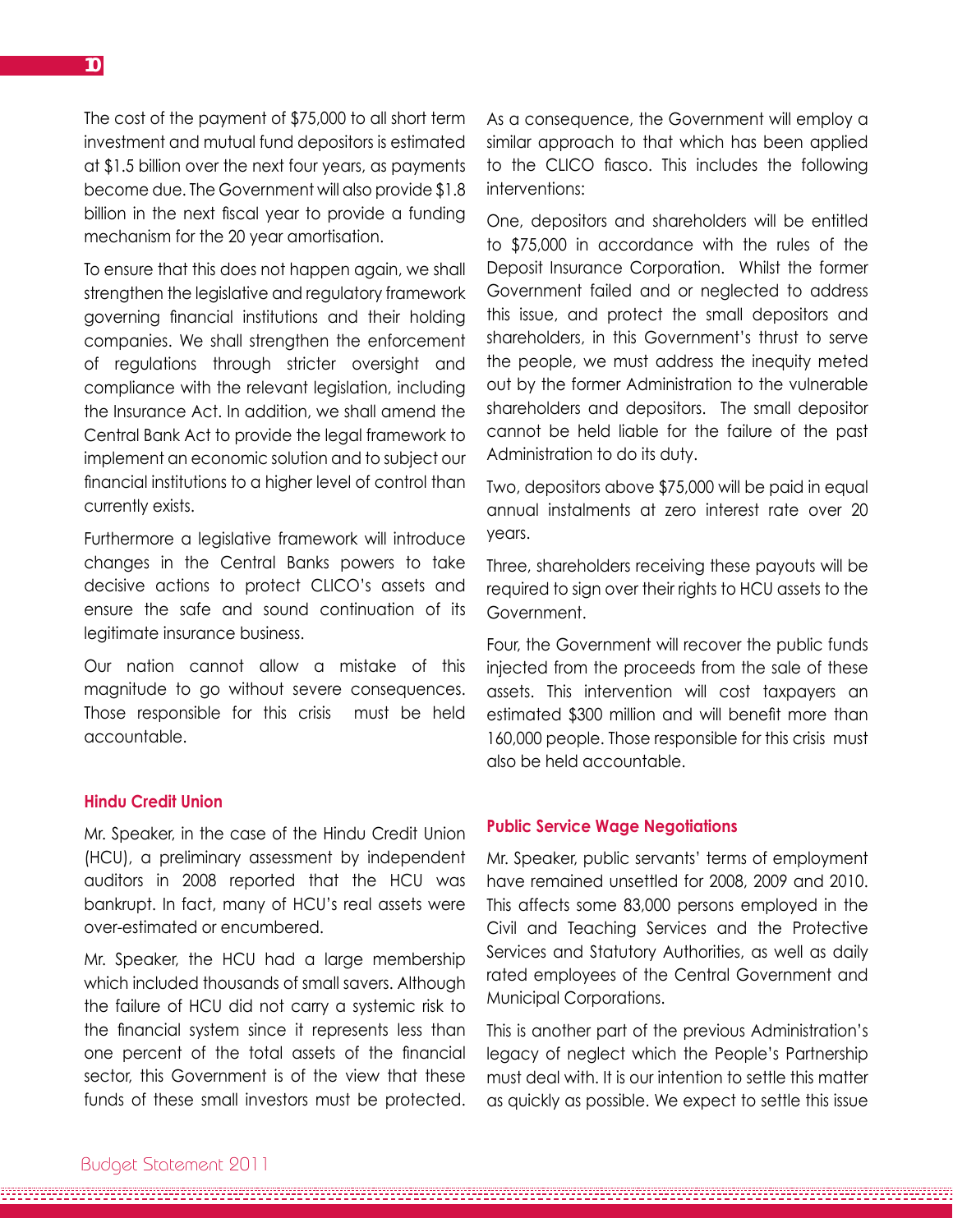The cost of the payment of \$75,000 to all short term investment and mutual fund depositors is estimated at \$1.5 billion over the next four years, as payments become due. The Government will also provide \$1.8 billion in the next fiscal year to provide a funding mechanism for the 20 year amortisation.

To ensure that this does not happen again, we shall strengthen the legislative and regulatory framework governing financial institutions and their holding companies. We shall strengthen the enforcement of regulations through stricter oversight and compliance with the relevant legislation, including the Insurance Act. In addition, we shall amend the Central Bank Act to provide the legal framework to implement an economic solution and to subject our financial institutions to a higher level of control than currently exists.

Furthermore a legislative framework will introduce changes in the Central Banks powers to take decisive actions to protect CLICO's assets and ensure the safe and sound continuation of its legitimate insurance business.

Our nation cannot allow a mistake of this magnitude to go without severe consequences. Those responsible for this crisis must be held accountable.

#### **Hindu Credit Union**

Mr. Speaker, in the case of the Hindu Credit Union (HCU), a preliminary assessment by independent auditors in 2008 reported that the HCU was bankrupt. In fact, many of HCU's real assets were over-estimated or encumbered.

Mr. Speaker, the HCU had a large membership which included thousands of small savers. Although the failure of HCU did not carry a systemic risk to the financial system since it represents less than one percent of the total assets of the financial sector, this Government is of the view that these funds of these small investors must be protected. As a consequence, the Government will employ a similar approach to that which has been applied to the CLICO fiasco. This includes the following interventions:

One, depositors and shareholders will be entitled to \$75,000 in accordance with the rules of the Deposit Insurance Corporation. Whilst the former Government failed and or neglected to address this issue, and protect the small depositors and shareholders, in this Government's thrust to serve the people, we must address the inequity meted out by the former Administration to the vulnerable shareholders and depositors. The small depositor cannot be held liable for the failure of the past Administration to do its duty.

Two, depositors above \$75,000 will be paid in equal annual instalments at zero interest rate over 20 years.

Three, shareholders receiving these payouts will be required to sign over their rights to HCU assets to the Government.

Four, the Government will recover the public funds injected from the proceeds from the sale of these assets. This intervention will cost taxpayers an estimated \$300 million and will benefit more than 160,000 people. Those responsible for this crisis must also be held accountable.

#### **Public Service Wage Negotiations**

Mr. Speaker, public servants' terms of employment have remained unsettled for 2008, 2009 and 2010. This affects some 83,000 persons employed in the Civil and Teaching Services and the Protective Services and Statutory Authorities, as well as daily rated employees of the Central Government and Municipal Corporations.

This is another part of the previous Administration's legacy of neglect which the People's Partnership must deal with. It is our intention to settle this matter as quickly as possible. We expect to settle this issue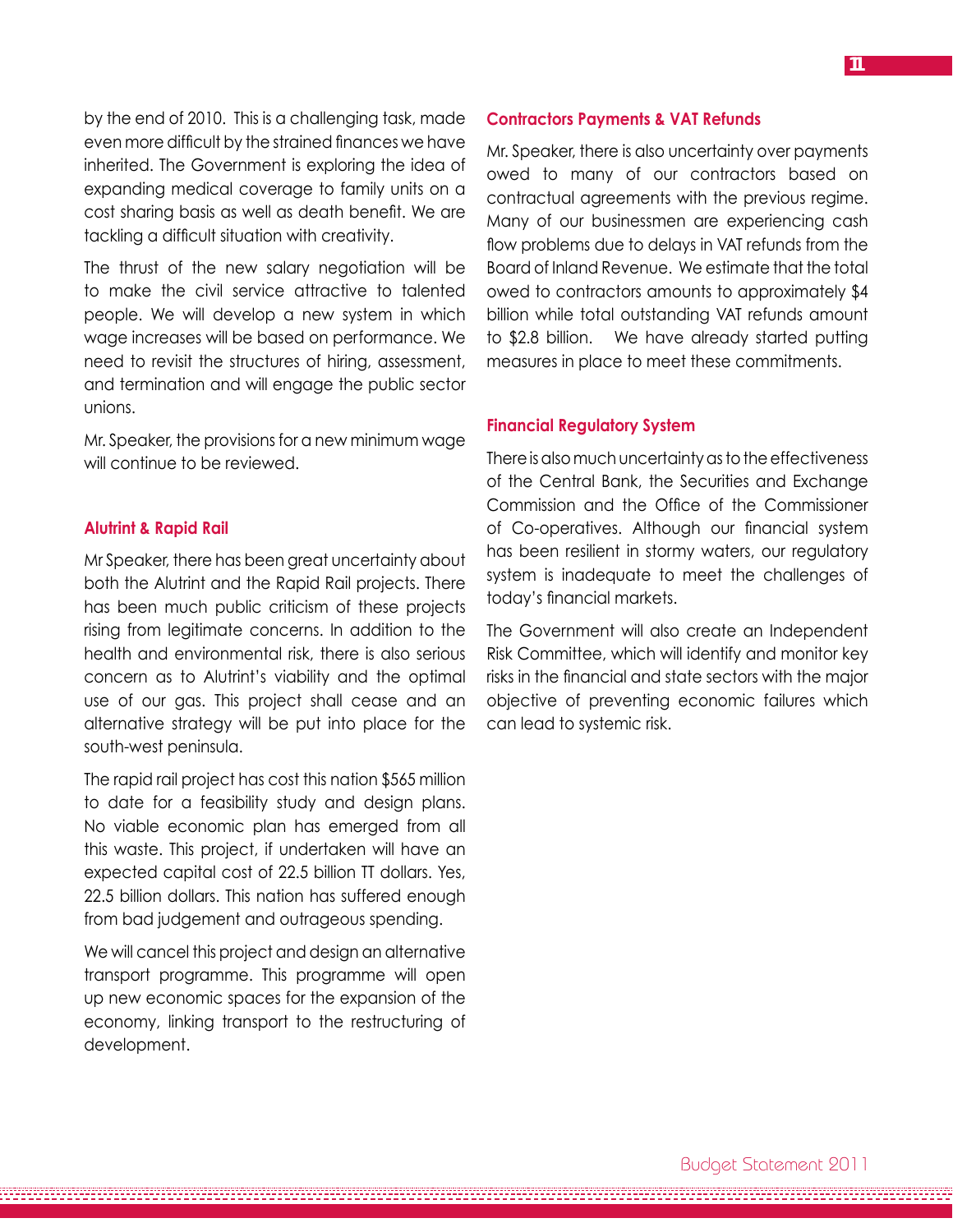by the end of 2010. This is a challenging task, made even more difficult by the strained finances we have inherited. The Government is exploring the idea of expanding medical coverage to family units on a cost sharing basis as well as death benefit. We are tackling a difficult situation with creativity.

The thrust of the new salary negotiation will be to make the civil service attractive to talented people. We will develop a new system in which wage increases will be based on performance. We need to revisit the structures of hiring, assessment, and termination and will engage the public sector unions.

Mr. Speaker, the provisions for a new minimum wage will continue to be reviewed.

#### **Alutrint & Rapid Rail**

Mr Speaker, there has been great uncertainty about both the Alutrint and the Rapid Rail projects. There has been much public criticism of these projects rising from legitimate concerns. In addition to the health and environmental risk, there is also serious concern as to Alutrint's viability and the optimal use of our gas. This project shall cease and an alternative strategy will be put into place for the south-west peninsula.

The rapid rail project has cost this nation \$565 million to date for a feasibility study and design plans. No viable economic plan has emerged from all this waste. This project, if undertaken will have an expected capital cost of 22.5 billion TT dollars. Yes, 22.5 billion dollars. This nation has suffered enough from bad judgement and outrageous spending.

We will cancel this project and design an alternative transport programme. This programme will open up new economic spaces for the expansion of the economy, linking transport to the restructuring of development.

#### **Contractors Payments & VAT Refunds**

Mr. Speaker, there is also uncertainty over payments owed to many of our contractors based on contractual agreements with the previous regime. Many of our businessmen are experiencing cash flow problems due to delays in VAT refunds from the Board of Inland Revenue. We estimate that the total owed to contractors amounts to approximately \$4 billion while total outstanding VAT refunds amount to \$2.8 billion. We have already started putting measures in place to meet these commitments.

#### **Financial Regulatory System**

There is also much uncertainty as to the effectiveness of the Central Bank, the Securities and Exchange Commission and the Office of the Commissioner of Co-operatives. Although our financial system has been resilient in stormy waters, our regulatory system is inadequate to meet the challenges of today's financial markets.

The Government will also create an Independent Risk Committee, which will identify and monitor key risks in the financial and state sectors with the major objective of preventing economic failures which can lead to systemic risk.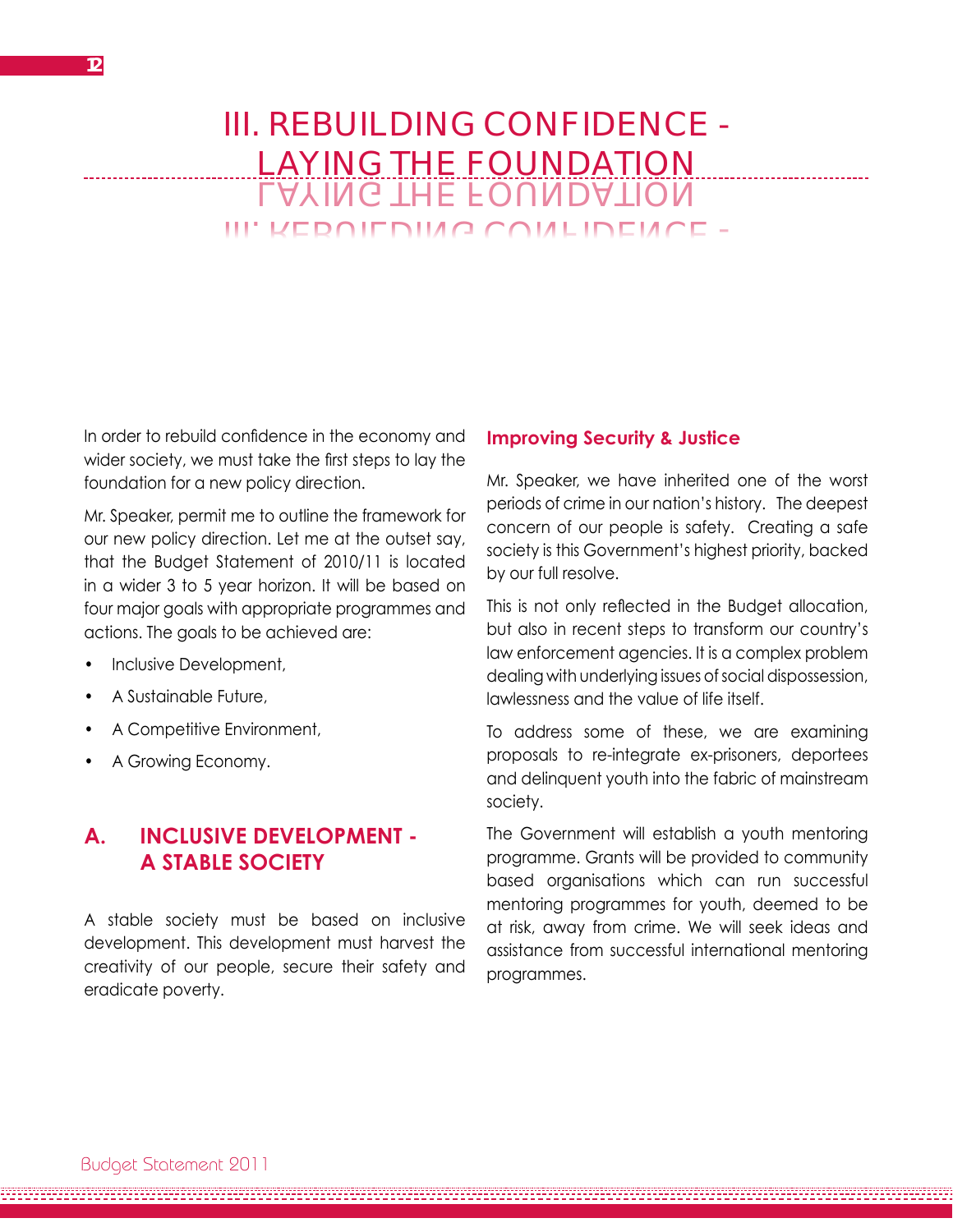# III. Rebuilding Confidence - Laying the foundation II. VAIVIU THE EUITIVID VIIUVI<br>III: REBOIEDU40, QOMLIBEMOE Laying the foundation

In order to rebuild confidence in the economy and wider society, we must take the first steps to lay the foundation for a new policy direction.

Mr. Speaker, permit me to outline the framework for our new policy direction. Let me at the outset say, that the Budget Statement of 2010/11 is located in a wider 3 to 5 year horizon. It will be based on four major goals with appropriate programmes and actions. The goals to be achieved are:

- Inclusive Development,
- A Sustainable Future,
- A Competitive Environment,
- A Growing Economy.

# **A. Inclusive DevelopmenT - A Stable Society**

A stable society must be based on inclusive development. This development must harvest the creativity of our people, secure their safety and eradicate poverty.

#### **Improving Security & Justice**

Mr. Speaker, we have inherited one of the worst periods of crime in our nation's history. The deepest concern of our people is safety. Creating a safe society is this Government's highest priority, backed by our full resolve.

This is not only reflected in the Budget allocation, but also in recent steps to transform our country's law enforcement agencies. It is a complex problem dealing with underlying issues of social dispossession, lawlessness and the value of life itself.

To address some of these, we are examining proposals to re-integrate ex-prisoners, deportees and delinquent youth into the fabric of mainstream society.

The Government will establish a youth mentoring programme. Grants will be provided to community based organisations which can run successful mentoring programmes for youth, deemed to be at risk, away from crime. We will seek ideas and assistance from successful international mentoring programmes.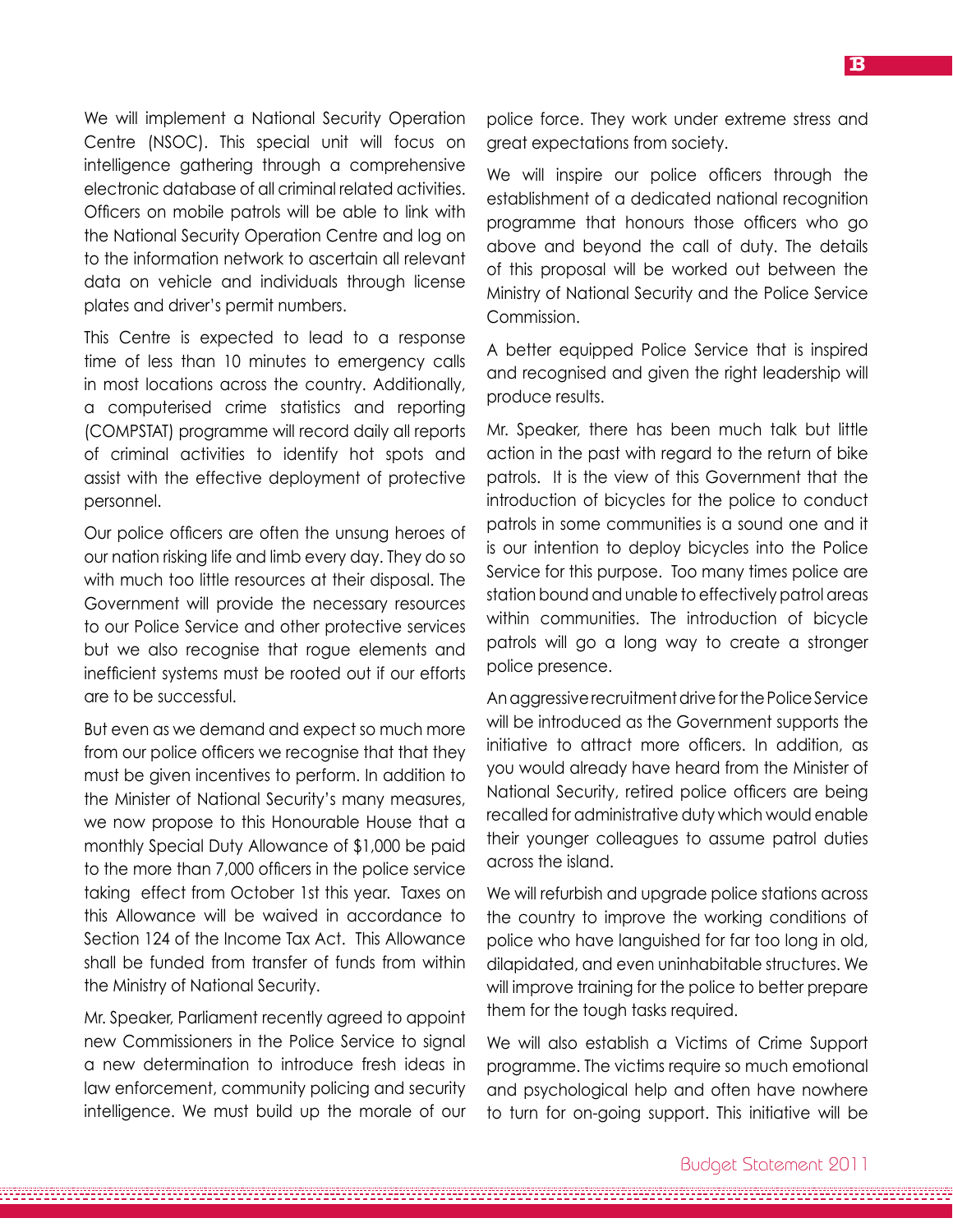We will implement a National Security Operation Centre (NSOC). This special unit will focus on intelligence gathering through a comprehensive electronic database of all criminal related activities. Officers on mobile patrols will be able to link with the National Security Operation Centre and log on to the information network to ascertain all relevant data on vehicle and individuals through license plates and driver's permit numbers.

This Centre is expected to lead to a response time of less than 10 minutes to emergency calls in most locations across the country. Additionally, a computerised crime statistics and reporting (COMPSTAT) programme will record daily all reports of criminal activities to identify hot spots and assist with the effective deployment of protective personnel.

Our police officers are often the unsung heroes of our nation risking life and limb every day. They do so with much too little resources at their disposal. The Government will provide the necessary resources to our Police Service and other protective services but we also recognise that rogue elements and inefficient systems must be rooted out if our efforts are to be successful.

But even as we demand and expect so much more from our police officers we recognise that that they must be given incentives to perform. In addition to the Minister of National Security's many measures, we now propose to this Honourable House that a monthly Special Duty Allowance of \$1,000 be paid to the more than 7,000 officers in the police service taking effect from October 1st this year. Taxes on this Allowance will be waived in accordance to Section 124 of the Income Tax Act. This Allowance shall be funded from transfer of funds from within the Ministry of National Security.

Mr. Speaker, Parliament recently agreed to appoint new Commissioners in the Police Service to signal a new determination to introduce fresh ideas in law enforcement, community policing and security intelligence. We must build up the morale of our police force. They work under extreme stress and great expectations from society.

We will inspire our police officers through the establishment of a dedicated national recognition programme that honours those officers who go above and beyond the call of duty. The details of this proposal will be worked out between the Ministry of National Security and the Police Service Commission.

A better equipped Police Service that is inspired and recognised and given the right leadership will produce results.

Mr. Speaker, there has been much talk but little action in the past with regard to the return of bike patrols. It is the view of this Government that the introduction of bicycles for the police to conduct patrols in some communities is a sound one and it is our intention to deploy bicycles into the Police Service for this purpose. Too many times police are station bound and unable to effectively patrol areas within communities. The introduction of bicycle patrols will go a long way to create a stronger police presence.

An aggressive recruitment drive for the Police Service will be introduced as the Government supports the initiative to attract more officers. In addition, as you would already have heard from the Minister of National Security, retired police officers are being recalled for administrative duty which would enable their younger colleagues to assume patrol duties across the island.

We will refurbish and upgrade police stations across the country to improve the working conditions of police who have languished for far too long in old, dilapidated, and even uninhabitable structures. We will improve training for the police to better prepare them for the tough tasks required.

We will also establish a Victims of Crime Support programme. The victims require so much emotional and psychological help and often have nowhere to turn for on-going support. This initiative will be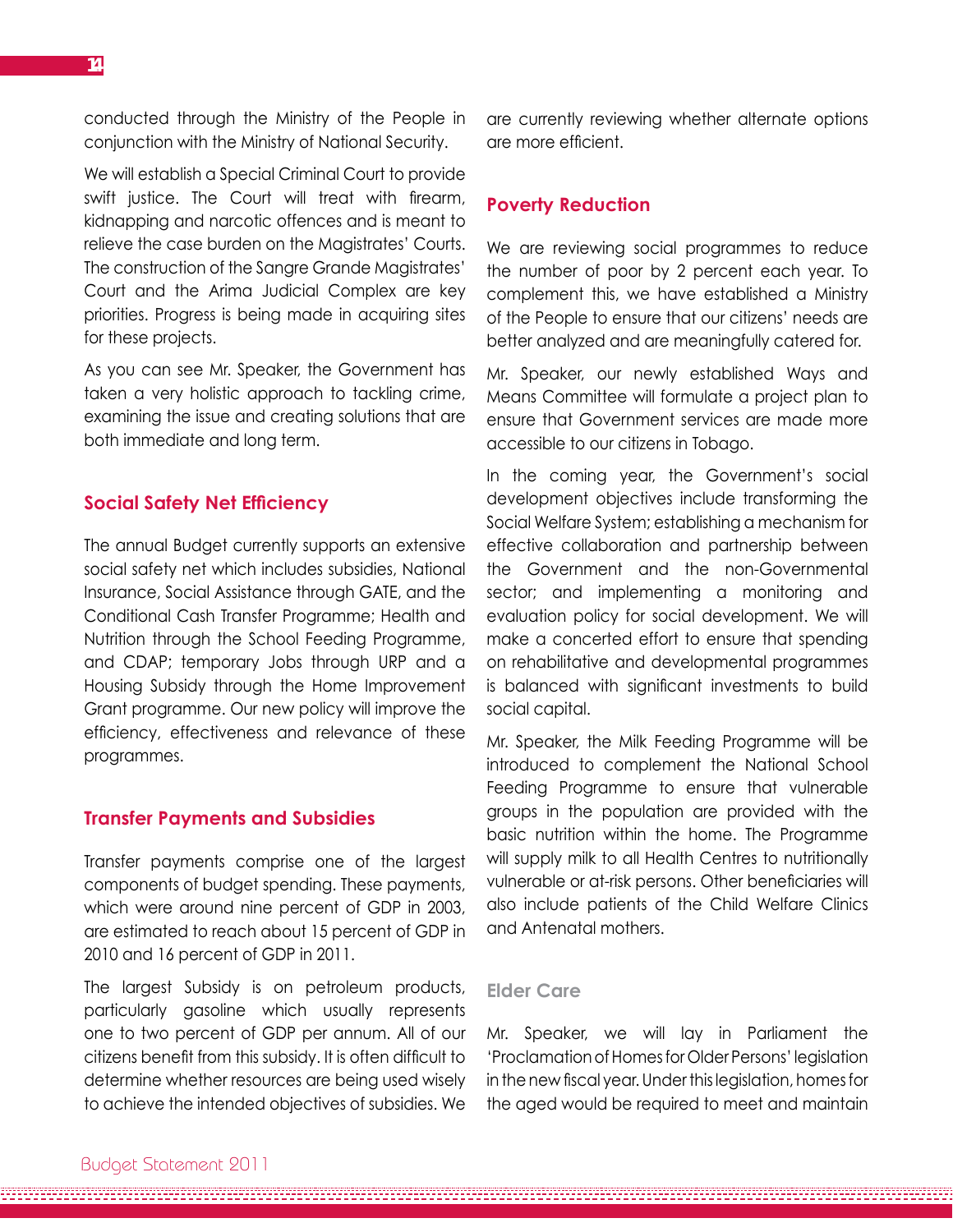conducted through the Ministry of the People in conjunction with the Ministry of National Security.

We will establish a Special Criminal Court to provide swift justice. The Court will treat with firearm, kidnapping and narcotic offences and is meant to relieve the case burden on the Magistrates' Courts. The construction of the Sangre Grande Magistrates' Court and the Arima Judicial Complex are key priorities. Progress is being made in acquiring sites for these projects.

As you can see Mr. Speaker, the Government has taken a very holistic approach to tackling crime, examining the issue and creating solutions that are both immediate and long term.

### **Social Safety Net Efficiency**

The annual Budget currently supports an extensive social safety net which includes subsidies, National Insurance, Social Assistance through GATE, and the Conditional Cash Transfer Programme; Health and Nutrition through the School Feeding Programme, and CDAP; temporary Jobs through URP and a Housing Subsidy through the Home Improvement Grant programme. Our new policy will improve the efficiency, effectiveness and relevance of these programmes.

#### **Transfer Payments and Subsidies**

Transfer payments comprise one of the largest components of budget spending. These payments, which were around nine percent of GDP in 2003, are estimated to reach about 15 percent of GDP in 2010 and 16 percent of GDP in 2011.

The largest Subsidy is on petroleum products, particularly gasoline which usually represents one to two percent of GDP per annum. All of our citizens benefit from this subsidy. It is often difficult to determine whether resources are being used wisely to achieve the intended objectives of subsidies. We are currently reviewing whether alternate options are more efficient.

#### **Poverty Reduction**

We are reviewing social programmes to reduce the number of poor by 2 percent each year. To complement this, we have established a Ministry of the People to ensure that our citizens' needs are better analyzed and are meaningfully catered for.

Mr. Speaker, our newly established Ways and Means Committee will formulate a project plan to ensure that Government services are made more accessible to our citizens in Tobago.

In the coming year, the Government's social development objectives include transforming the Social Welfare System; establishing a mechanism for effective collaboration and partnership between the Government and the non-Governmental sector; and implementing a monitoring and evaluation policy for social development. We will make a concerted effort to ensure that spending on rehabilitative and developmental programmes is balanced with significant investments to build social capital.

Mr. Speaker, the Milk Feeding Programme will be introduced to complement the National School Feeding Programme to ensure that vulnerable groups in the population are provided with the basic nutrition within the home. The Programme will supply milk to all Health Centres to nutritionally vulnerable or at-risk persons. Other beneficiaries will also include patients of the Child Welfare Clinics and Antenatal mothers.

#### **Elder Care**

Mr. Speaker, we will lay in Parliament the 'Proclamation of Homes for Older Persons' legislation in the new fiscal year. Under this legislation, homes for the aged would be required to meet and maintain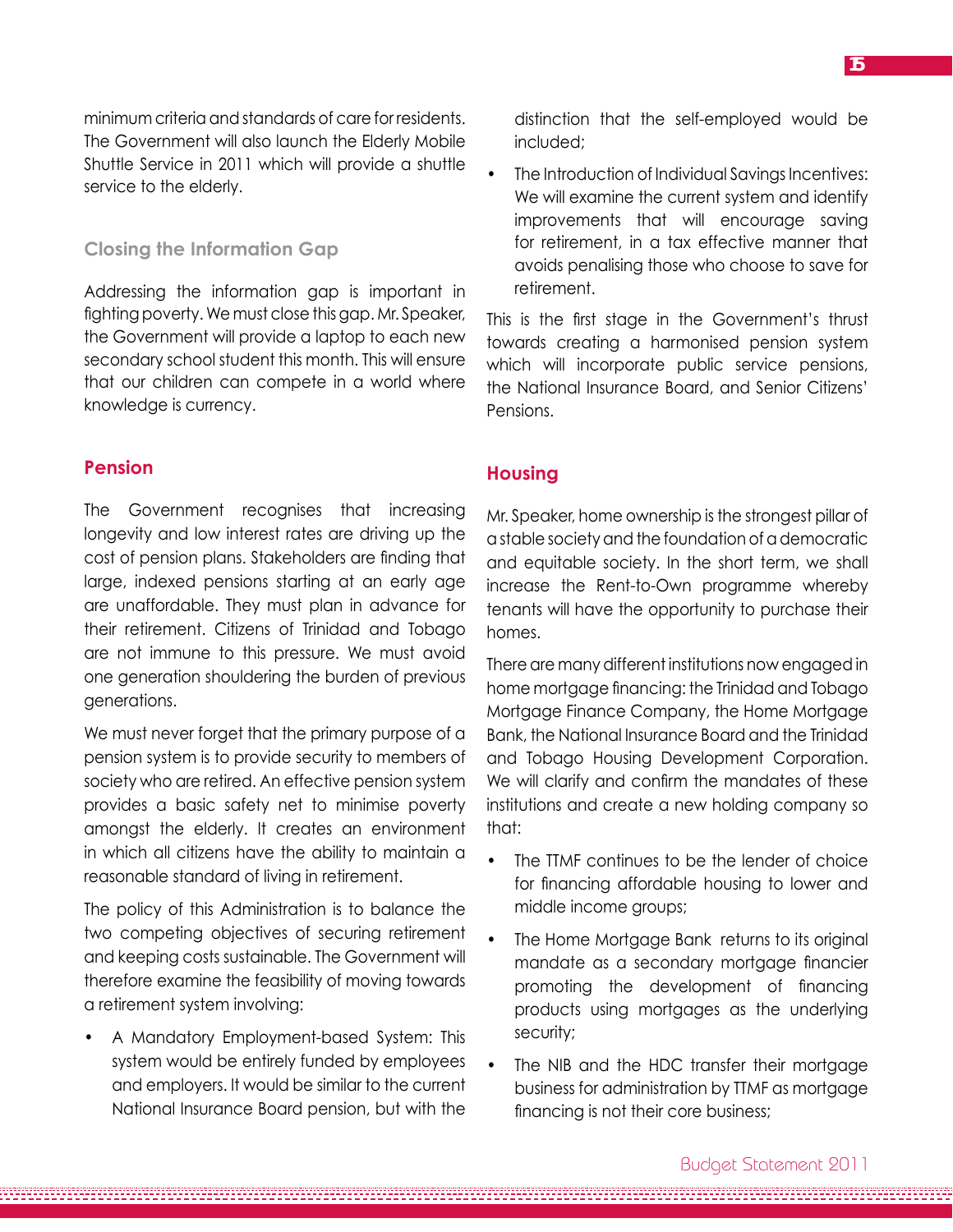minimum criteria and standards of care for residents. The Government will also launch the Elderly Mobile Shuttle Service in 2011 which will provide a shuttle service to the elderly.

# **Closing the Information Gap**

Addressing the information gap is important in fighting poverty. We must close this gap. Mr. Speaker, the Government will provide a laptop to each new secondary school student this month. This will ensure that our children can compete in a world where knowledge is currency.

# **Pension**

The Government recognises that increasing longevity and low interest rates are driving up the cost of pension plans. Stakeholders are finding that large, indexed pensions starting at an early age are unaffordable. They must plan in advance for their retirement. Citizens of Trinidad and Tobago are not immune to this pressure. We must avoid one generation shouldering the burden of previous generations.

We must never forget that the primary purpose of a pension system is to provide security to members of society who are retired. An effective pension system provides a basic safety net to minimise poverty amongst the elderly. It creates an environment in which all citizens have the ability to maintain a reasonable standard of living in retirement.

The policy of this Administration is to balance the two competing objectives of securing retirement and keeping costs sustainable. The Government will therefore examine the feasibility of moving towards a retirement system involving:

• A Mandatory Employment-based System: This system would be entirely funded by employees and employers. It would be similar to the current National Insurance Board pension, but with the

distinction that the self-employed would be included;

The Introduction of Individual Savings Incentives: We will examine the current system and identify improvements that will encourage saving for retirement, in a tax effective manner that avoids penalising those who choose to save for retirement.

This is the first stage in the Government's thrust towards creating a harmonised pension system which will incorporate public service pensions, the National Insurance Board, and Senior Citizens' Pensions.

# **Housing**

Mr. Speaker, home ownership is the strongest pillar of a stable society and the foundation of a democratic and equitable society. In the short term, we shall increase the Rent-to-Own programme whereby tenants will have the opportunity to purchase their homes.

There are many different institutions now engaged in home mortgage financing: the Trinidad and Tobago Mortgage Finance Company, the Home Mortgage Bank, the National Insurance Board and the Trinidad and Tobago Housing Development Corporation. We will clarify and confirm the mandates of these institutions and create a new holding company so that:

- The TTMF continues to be the lender of choice for financing affordable housing to lower and middle income groups;
- The Home Mortgage Bank returns to its original mandate as a secondary mortgage financier promoting the development of financing products using mortgages as the underlying security;
- The NIB and the HDC transfer their mortgage business for administration by TTMF as mortgage financing is not their core business;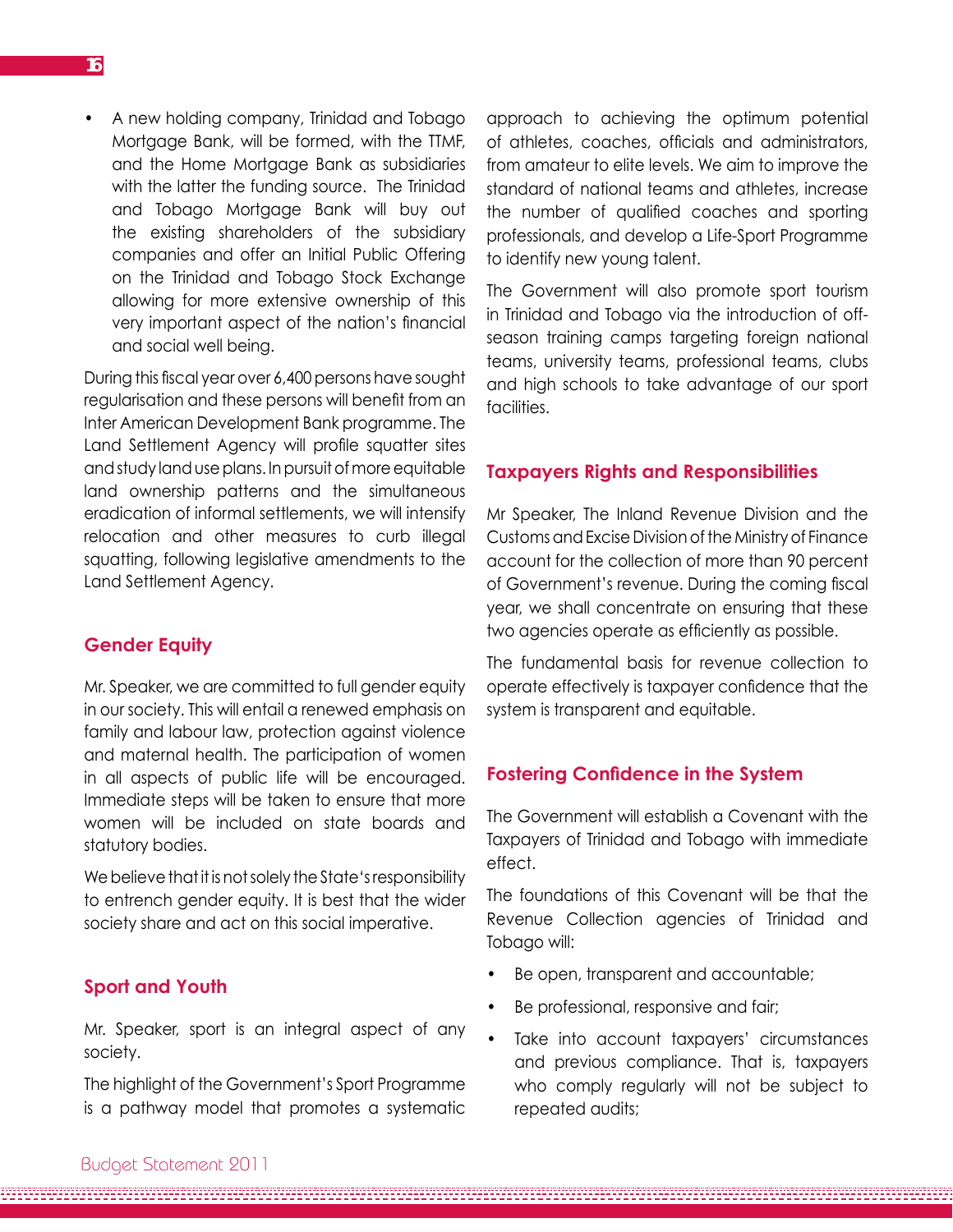• A new holding company, Trinidad and Tobago Mortgage Bank, will be formed, with the TTMF, and the Home Mortgage Bank as subsidiaries with the latter the funding source. The Trinidad and Tobago Mortgage Bank will buy out the existing shareholders of the subsidiary companies and offer an Initial Public Offering on the Trinidad and Tobago Stock Exchange allowing for more extensive ownership of this very important aspect of the nation's financial and social well being.

During this fiscal year over 6,400 persons have sought regularisation and these persons will benefit from an Inter American Development Bank programme. The Land Settlement Agency will profile squatter sites and study land use plans. In pursuit of more equitable land ownership patterns and the simultaneous eradication of informal settlements, we will intensify relocation and other measures to curb illegal squatting, following legislative amendments to the Land Settlement Agency.

#### **Gender Equity**

Mr. Speaker, we are committed to full gender equity in our society. This will entail a renewed emphasis on family and labour law, protection against violence and maternal health. The participation of women in all aspects of public life will be encouraged. Immediate steps will be taken to ensure that more women will be included on state boards and statutory bodies.

We believe that it is not solely the State's responsibility to entrench gender equity. It is best that the wider society share and act on this social imperative.

#### **Sport and Youth**

Mr. Speaker, sport is an integral aspect of any society.

The highlight of the Government's Sport Programme is a pathway model that promotes a systematic approach to achieving the optimum potential of athletes, coaches, officials and administrators, from amateur to elite levels. We aim to improve the standard of national teams and athletes, increase the number of qualified coaches and sporting professionals, and develop a Life-Sport Programme to identify new young talent.

The Government will also promote sport tourism in Trinidad and Tobago via the introduction of offseason training camps targeting foreign national teams, university teams, professional teams, clubs and high schools to take advantage of our sport facilities.

#### **Taxpayers Rights and Responsibilities**

Mr Speaker, The Inland Revenue Division and the Customs and Excise Division of the Ministry of Finance account for the collection of more than 90 percent of Government's revenue. During the coming fiscal year, we shall concentrate on ensuring that these two agencies operate as efficiently as possible.

The fundamental basis for revenue collection to operate effectively is taxpayer confidence that the system is transparent and equitable.

#### **Fostering Confidence in the System**

The Government will establish a Covenant with the Taxpayers of Trinidad and Tobago with immediate effect.

The foundations of this Covenant will be that the Revenue Collection agencies of Trinidad and Tobago will:

- Be open, transparent and accountable;
- Be professional, responsive and fair;
- Take into account taxpayers' circumstances and previous compliance. That is, taxpayers who comply regularly will not be subject to repeated audits;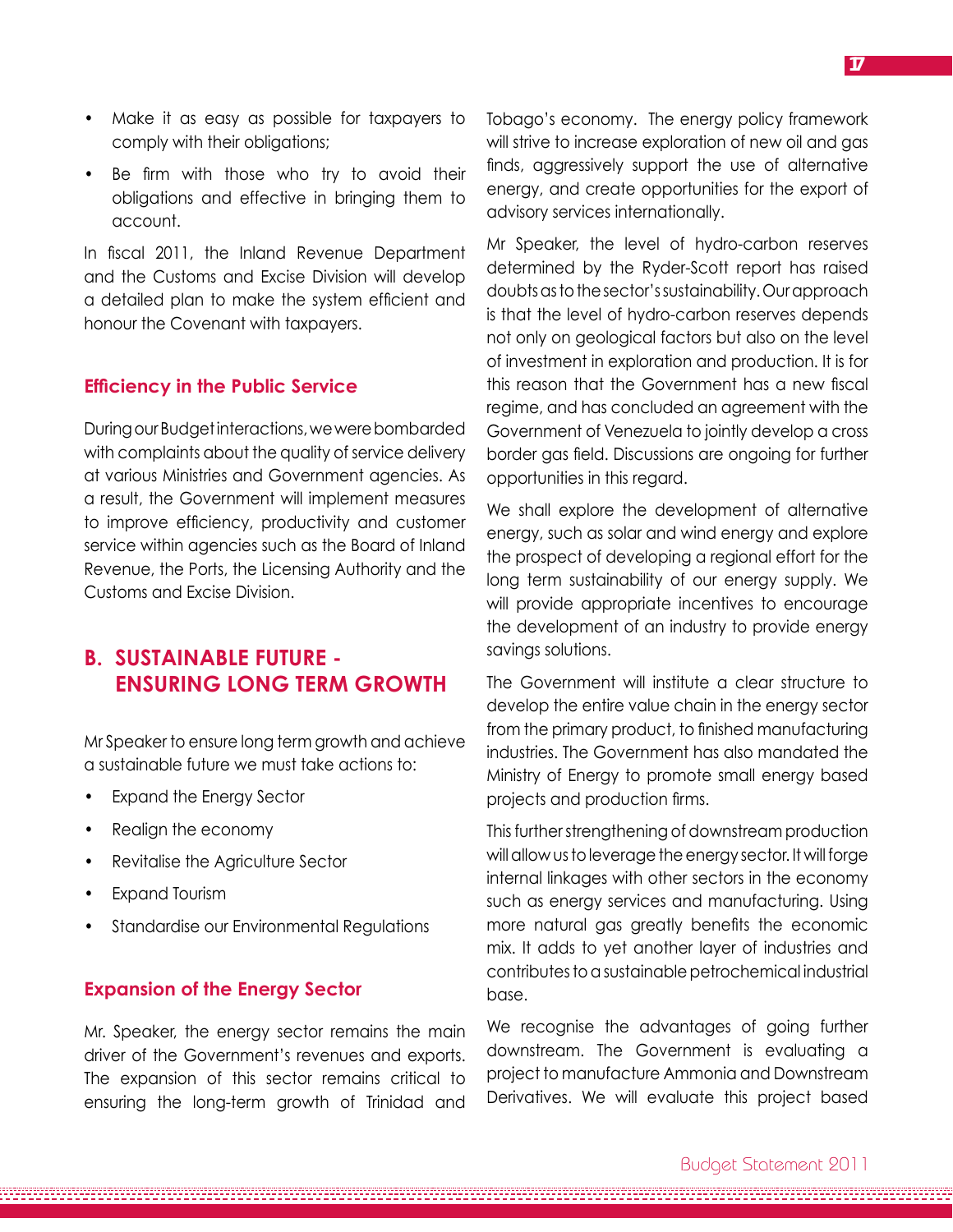- Make it as easy as possible for taxpayers to comply with their obligations;
- Be firm with those who try to avoid their obligations and effective in bringing them to account.

In fiscal 2011, the Inland Revenue Department and the Customs and Excise Division will develop a detailed plan to make the system efficient and honour the Covenant with taxpayers.

### **Efficiency in the Public Service**

During our Budget interactions, we were bombarded with complaints about the quality of service delivery at various Ministries and Government agencies. As a result, the Government will implement measures to improve efficiency, productivity and customer service within agencies such as the Board of Inland Revenue, the Ports, the Licensing Authority and the Customs and Excise Division.

# **B. Sustainable Future - Ensuring long term growth**

Mr Speaker to ensure long term growth and achieve a sustainable future we must take actions to:

- Expand the Energy Sector
- Realign the economy
- Revitalise the Agriculture Sector
- **Expand Tourism**
- Standardise our Environmental Regulations

#### **Expansion of the Energy Sector**

Mr. Speaker, the energy sector remains the main driver of the Government's revenues and exports. The expansion of this sector remains critical to ensuring the long-term growth of Trinidad and Tobago's economy. The energy policy framework will strive to increase exploration of new oil and gas finds, aggressively support the use of alternative energy, and create opportunities for the export of advisory services internationally.

Mr Speaker, the level of hydro-carbon reserves determined by the Ryder-Scott report has raised doubts as to the sector's sustainability. Our approach is that the level of hydro-carbon reserves depends not only on geological factors but also on the level of investment in exploration and production. It is for this reason that the Government has a new fiscal regime, and has concluded an agreement with the Government of Venezuela to jointly develop a cross border gas field. Discussions are ongoing for further opportunities in this regard.

We shall explore the development of alternative energy, such as solar and wind energy and explore the prospect of developing a regional effort for the long term sustainability of our energy supply. We will provide appropriate incentives to encourage the development of an industry to provide energy savings solutions.

The Government will institute a clear structure to develop the entire value chain in the energy sector from the primary product, to finished manufacturing industries. The Government has also mandated the Ministry of Energy to promote small energy based projects and production firms.

This further strengthening of downstream production will allow us to leverage the energy sector. It will forge internal linkages with other sectors in the economy such as energy services and manufacturing. Using more natural gas greatly benefits the economic mix. It adds to yet another layer of industries and contributes to a sustainable petrochemical industrial base.

We recognise the advantages of going further downstream. The Government is evaluating a project to manufacture Ammonia and Downstream Derivatives. We will evaluate this project based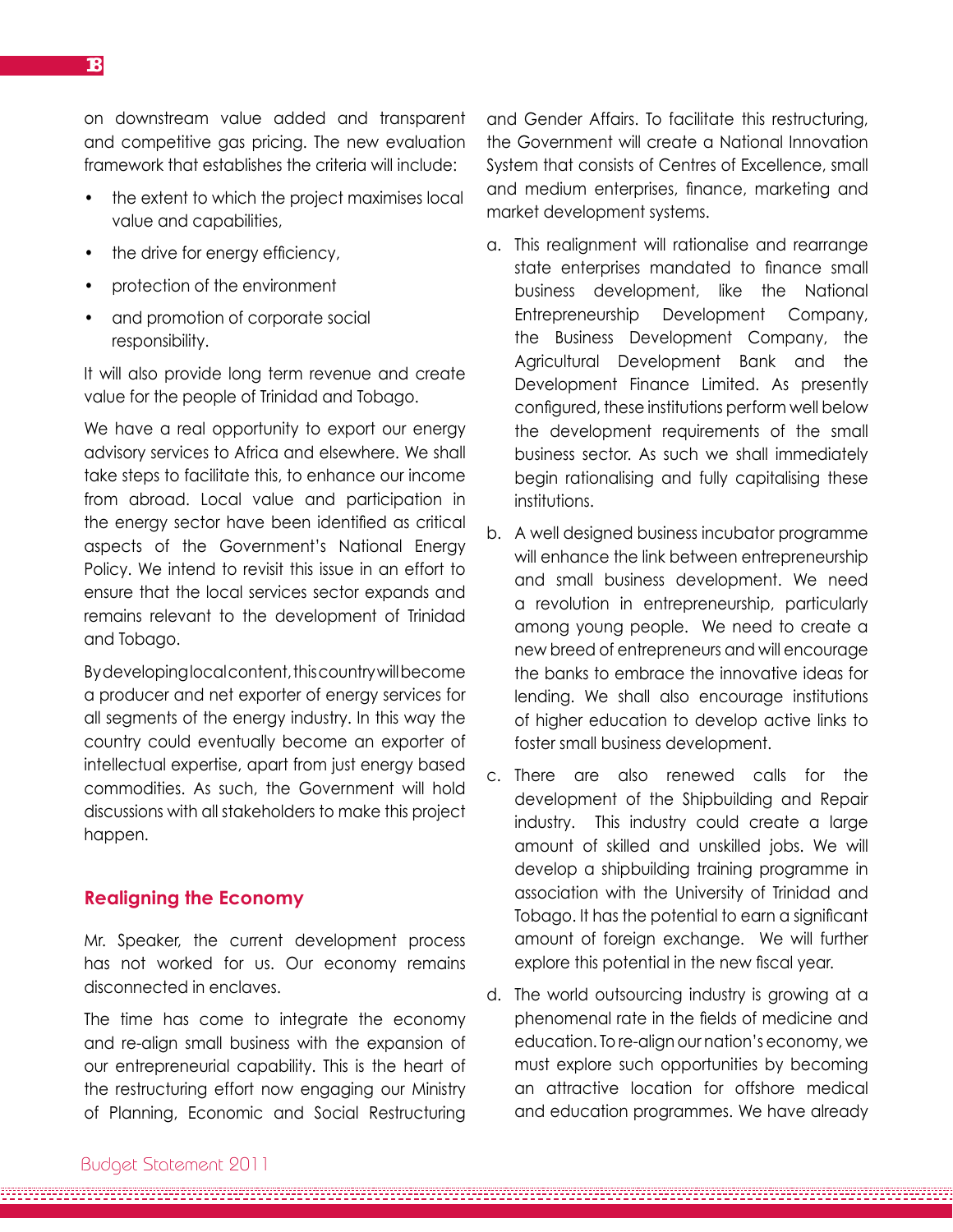on downstream value added and transparent and competitive gas pricing. The new evaluation framework that establishes the criteria will include:

- the extent to which the project maximises local value and capabilities,
- the drive for energy efficiency,
- protection of the environment
- and promotion of corporate social responsibility.

It will also provide long term revenue and create value for the people of Trinidad and Tobago.

We have a real opportunity to export our energy advisory services to Africa and elsewhere. We shall take steps to facilitate this, to enhance our income from abroad. Local value and participation in the energy sector have been identified as critical aspects of the Government's National Energy Policy. We intend to revisit this issue in an effort to ensure that the local services sector expands and remains relevant to the development of Trinidad and Tobago.

By developing local content, this country will become a producer and net exporter of energy services for all segments of the energy industry. In this way the country could eventually become an exporter of intellectual expertise, apart from just energy based commodities. As such, the Government will hold discussions with all stakeholders to make this project happen.

# **Realigning the Economy**

Mr. Speaker, the current development process has not worked for us. Our economy remains disconnected in enclaves.

The time has come to integrate the economy and re-align small business with the expansion of our entrepreneurial capability. This is the heart of the restructuring effort now engaging our Ministry of Planning, Economic and Social Restructuring and Gender Affairs. To facilitate this restructuring, the Government will create a National Innovation System that consists of Centres of Excellence, small and medium enterprises, finance, marketing and market development systems.

- a. This realignment will rationalise and rearrange state enterprises mandated to finance small business development, like the National Entrepreneurship Development Company, the Business Development Company, the Agricultural Development Bank and the Development Finance Limited. As presently configured, these institutions perform well below the development requirements of the small business sector. As such we shall immediately begin rationalising and fully capitalising these institutions.
- b. A well designed business incubator programme will enhance the link between entrepreneurship and small business development. We need a revolution in entrepreneurship, particularly among young people. We need to create a new breed of entrepreneurs and will encourage the banks to embrace the innovative ideas for lending. We shall also encourage institutions of higher education to develop active links to foster small business development.
- c. There are also renewed calls for the development of the Shipbuilding and Repair industry. This industry could create a large amount of skilled and unskilled jobs. We will develop a shipbuilding training programme in association with the University of Trinidad and Tobago. It has the potential to earn a significant amount of foreign exchange. We will further explore this potential in the new fiscal year.
- d. The world outsourcing industry is growing at a phenomenal rate in the fields of medicine and education. To re-align our nation's economy, we must explore such opportunities by becoming an attractive location for offshore medical and education programmes. We have already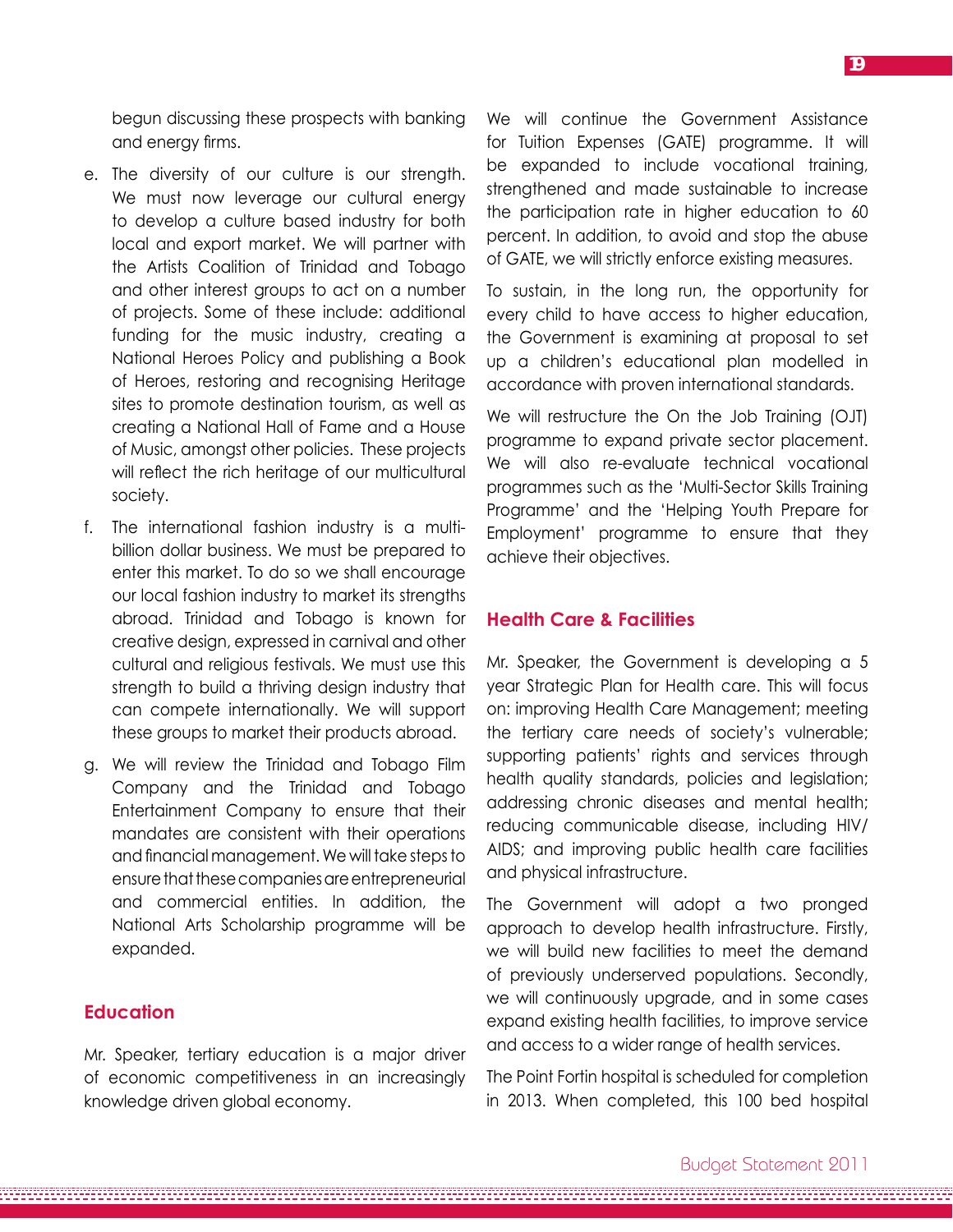begun discussing these prospects with banking and energy firms.

- e. The diversity of our culture is our strength. We must now leverage our cultural energy to develop a culture based industry for both local and export market. We will partner with the Artists Coalition of Trinidad and Tobago and other interest groups to act on a number of projects. Some of these include: additional funding for the music industry, creating a National Heroes Policy and publishing a Book of Heroes, restoring and recognising Heritage sites to promote destination tourism, as well as creating a National Hall of Fame and a House of Music, amongst other policies. These projects will reflect the rich heritage of our multicultural society.
- f. The international fashion industry is a multibillion dollar business. We must be prepared to enter this market. To do so we shall encourage our local fashion industry to market its strengths abroad. Trinidad and Tobago is known for creative design, expressed in carnival and other cultural and religious festivals. We must use this strength to build a thriving design industry that can compete internationally. We will support these groups to market their products abroad.
- g. We will review the Trinidad and Tobago Film Company and the Trinidad and Tobago Entertainment Company to ensure that their mandates are consistent with their operations and financial management. We will take steps to ensure that these companies are entrepreneurial and commercial entities. In addition, the National Arts Scholarship programme will be expanded.

### **Education**

Mr. Speaker, tertiary education is a major driver of economic competitiveness in an increasingly knowledge driven global economy.

We will continue the Government Assistance for Tuition Expenses (GATE) programme. It will be expanded to include vocational training, strengthened and made sustainable to increase the participation rate in higher education to 60 percent. In addition, to avoid and stop the abuse of GATE, we will strictly enforce existing measures.

To sustain, in the long run, the opportunity for every child to have access to higher education, the Government is examining at proposal to set up a children's educational plan modelled in accordance with proven international standards.

We will restructure the On the Job Training (OJT) programme to expand private sector placement. We will also re-evaluate technical vocational programmes such as the 'Multi-Sector Skills Training Programme' and the 'Helping Youth Prepare for Employment' programme to ensure that they achieve their objectives.

#### **Health Care & Facilities**

Mr. Speaker, the Government is developing a 5 year Strategic Plan for Health care. This will focus on: improving Health Care Management; meeting the tertiary care needs of society's vulnerable; supporting patients' rights and services through health quality standards, policies and legislation; addressing chronic diseases and mental health; reducing communicable disease, including HIV/ AIDS; and improving public health care facilities and physical infrastructure.

The Government will adopt a two pronged approach to develop health infrastructure. Firstly, we will build new facilities to meet the demand of previously underserved populations. Secondly, we will continuously upgrade, and in some cases expand existing health facilities, to improve service and access to a wider range of health services.

The Point Fortin hospital is scheduled for completion in 2013. When completed, this 100 bed hospital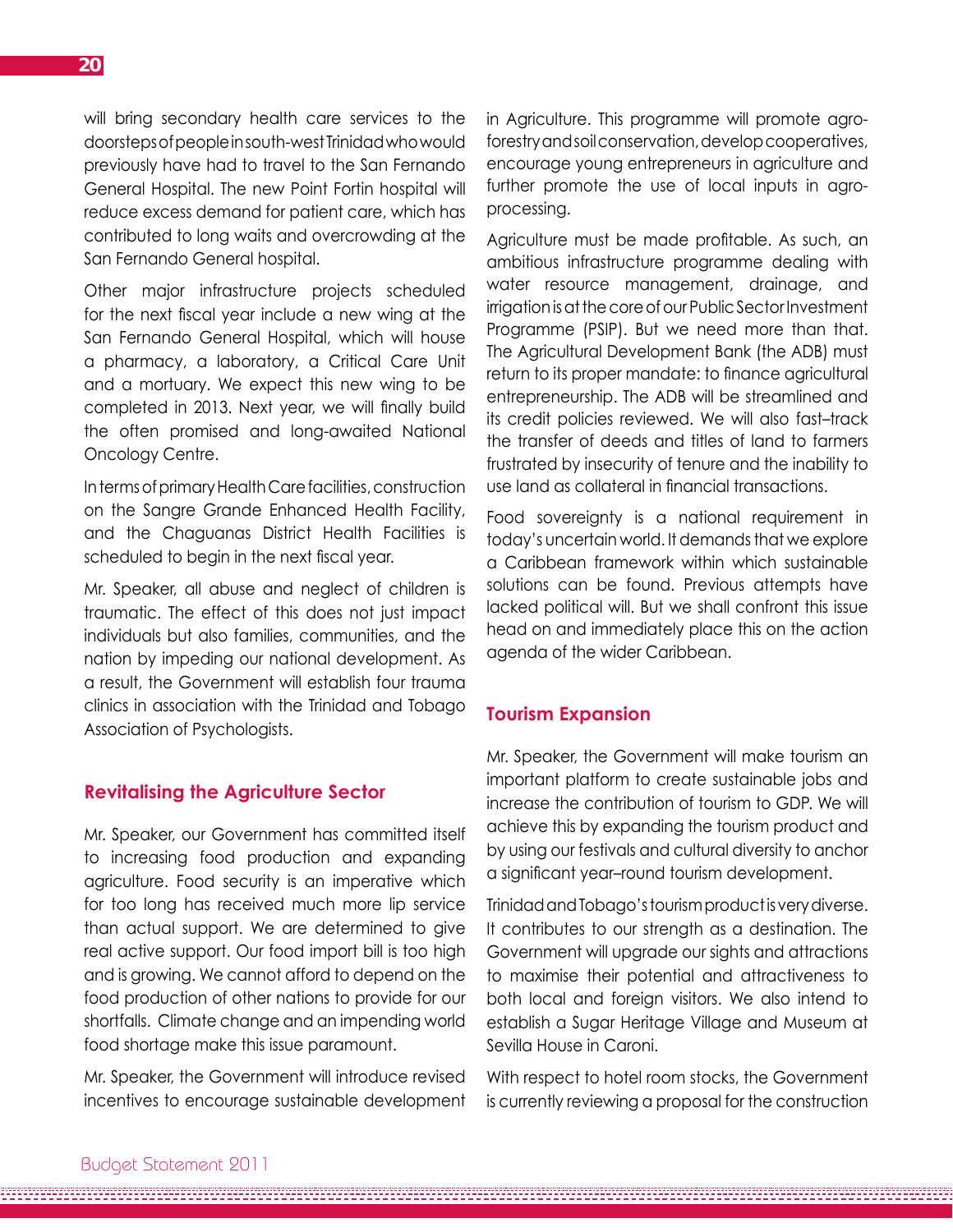will bring secondary health care services to the doorsteps of people in south-west Trinidad who would previously have had to travel to the San Fernando General Hospital. The new Point Fortin hospital will reduce excess demand for patient care, which has contributed to long waits and overcrowding at the San Fernando General hospital.

Other major infrastructure projects scheduled for the next fiscal year include a new wing at the San Fernando General Hospital, which will house a pharmacy, a laboratory, a Critical Care Unit and a mortuary. We expect this new wing to be completed in 2013. Next year, we will finally build the often promised and long-awaited National Oncology Centre.

In terms of primary Health Care facilities, construction on the Sangre Grande Enhanced Health Facility, and the Chaguanas District Health Facilities is scheduled to begin in the next fiscal year.

Mr. Speaker, all abuse and neglect of children is traumatic. The effect of this does not just impact individuals but also families, communities, and the nation by impeding our national development. As a result, the Government will establish four trauma clinics in association with the Trinidad and Tobago Association of Psychologists.

# **Revitalising the Agriculture Sector**

Mr. Speaker, our Government has committed itself to increasing food production and expanding agriculture. Food security is an imperative which for too long has received much more lip service than actual support. We are determined to give real active support. Our food import bill is too high and is growing. We cannot afford to depend on the food production of other nations to provide for our shortfalls. Climate change and an impending world food shortage make this issue paramount.

Mr. Speaker, the Government will introduce revised incentives to encourage sustainable development in Agriculture. This programme will promote agroforestry and soil conservation, develop cooperatives, encourage young entrepreneurs in agriculture and further promote the use of local inputs in agroprocessing.

Agriculture must be made profitable. As such, an ambitious infrastructure programme dealing with water resource management, drainage, and irrigation is at the core of our Public Sector Investment Programme (PSIP). But we need more than that. The Agricultural Development Bank (the ADB) must return to its proper mandate: to finance agricultural entrepreneurship. The ADB will be streamlined and its credit policies reviewed. We will also fast–track the transfer of deeds and titles of land to farmers frustrated by insecurity of tenure and the inability to use land as collateral in financial transactions.

Food sovereignty is a national requirement in today's uncertain world. It demands that we explore a Caribbean framework within which sustainable solutions can be found. Previous attempts have lacked political will. But we shall confront this issue head on and immediately place this on the action agenda of the wider Caribbean.

#### **Tourism Expansion**

Mr. Speaker, the Government will make tourism an important platform to create sustainable jobs and increase the contribution of tourism to GDP. We will achieve this by expanding the tourism product and by using our festivals and cultural diversity to anchor a significant year–round tourism development.

Trinidad and Tobago's tourism product is very diverse. It contributes to our strength as a destination. The Government will upgrade our sights and attractions to maximise their potential and attractiveness to both local and foreign visitors. We also intend to establish a Sugar Heritage Village and Museum at Sevilla House in Caroni.

With respect to hotel room stocks, the Government is currently reviewing a proposal for the construction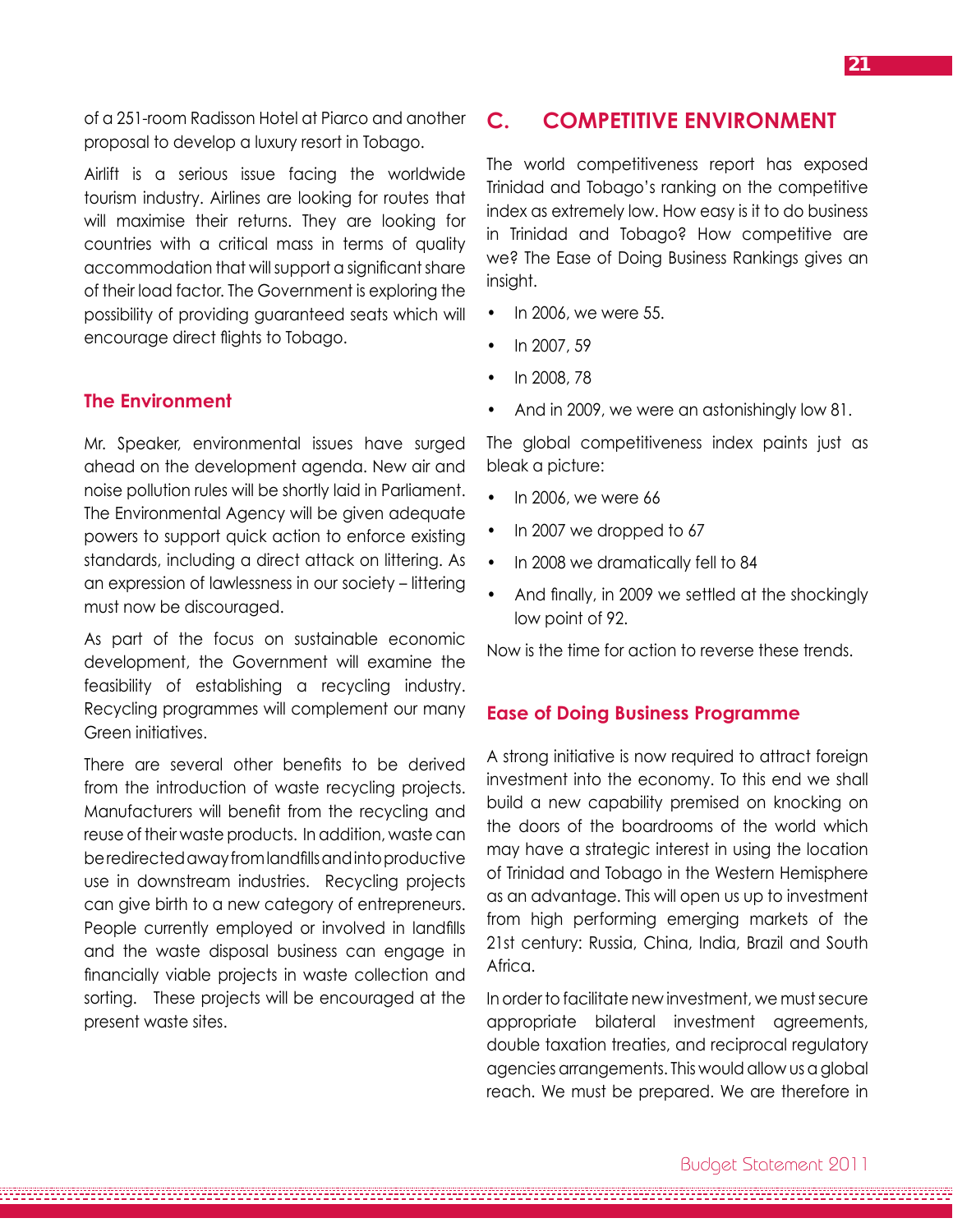of a 251-room Radisson Hotel at Piarco and another proposal to develop a luxury resort in Tobago.

Airlift is a serious issue facing the worldwide tourism industry. Airlines are looking for routes that will maximise their returns. They are looking for countries with a critical mass in terms of quality accommodation that will support a significant share of their load factor. The Government is exploring the possibility of providing guaranteed seats which will encourage direct flights to Tobago.

### **The Environment**

Mr. Speaker, environmental issues have surged ahead on the development agenda. New air and noise pollution rules will be shortly laid in Parliament. The Environmental Agency will be given adequate powers to support quick action to enforce existing standards, including a direct attack on littering. As an expression of lawlessness in our society – littering must now be discouraged.

As part of the focus on sustainable economic development, the Government will examine the feasibility of establishing a recycling industry. Recycling programmes will complement our many Green initiatives.

There are several other benefits to be derived from the introduction of waste recycling projects. Manufacturers will benefit from the recycling and reuse of their waste products. In addition, waste can be redirected away from landfills and into productive use in downstream industries. Recycling projects can give birth to a new category of entrepreneurs. People currently employed or involved in landfills and the waste disposal business can engage in financially viable projects in waste collection and sorting. These projects will be encouraged at the present waste sites.

# **C. Competitive Environment**

The world competitiveness report has exposed Trinidad and Tobago's ranking on the competitive index as extremely low. How easy is it to do business in Trinidad and Tobago? How competitive are we? The Ease of Doing Business Rankings gives an insight.

- In 2006, we were 55.
- In 2007, 59
- In 2008, 78
- And in 2009, we were an astonishingly low 81.

The global competitiveness index paints just as bleak a picture:

- In 2006, we were 66
- In 2007 we dropped to 67
- In 2008 we dramatically fell to 84
- And finally, in 2009 we settled at the shockingly low point of 92.

Now is the time for action to reverse these trends.

#### **Ease of Doing Business Programme**

A strong initiative is now required to attract foreign investment into the economy. To this end we shall build a new capability premised on knocking on the doors of the boardrooms of the world which may have a strategic interest in using the location of Trinidad and Tobago in the Western Hemisphere as an advantage. This will open us up to investment from high performing emerging markets of the 21st century: Russia, China, India, Brazil and South Africa.

In order to facilitate new investment, we must secure appropriate bilateral investment agreements, double taxation treaties, and reciprocal regulatory agencies arrangements. This would allow us a global reach. We must be prepared. We are therefore in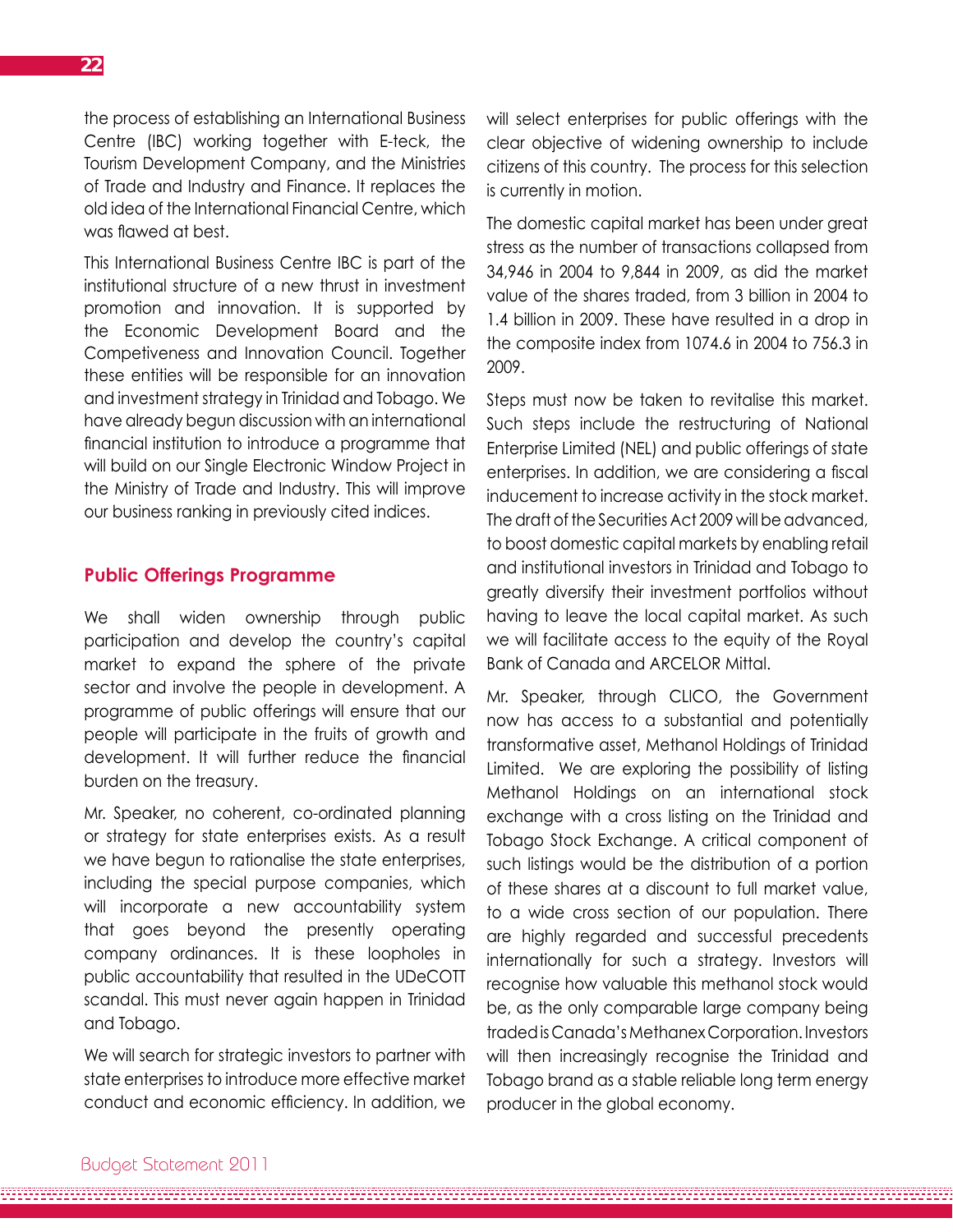the process of establishing an International Business Centre (IBC) working together with E-teck, the Tourism Development Company, and the Ministries of Trade and Industry and Finance. It replaces the old idea of the International Financial Centre, which was flawed at best.

This International Business Centre IBC is part of the institutional structure of a new thrust in investment promotion and innovation. It is supported by the Economic Development Board and the Competiveness and Innovation Council. Together these entities will be responsible for an innovation and investment strategy in Trinidad and Tobago. We have already begun discussion with an international financial institution to introduce a programme that will build on our Single Electronic Window Project in the Ministry of Trade and Industry. This will improve our business ranking in previously cited indices.

### **Public Offerings Programme**

We shall widen ownership through public participation and develop the country's capital market to expand the sphere of the private sector and involve the people in development. A programme of public offerings will ensure that our people will participate in the fruits of growth and development. It will further reduce the financial burden on the treasury.

Mr. Speaker, no coherent, co-ordinated planning or strategy for state enterprises exists. As a result we have begun to rationalise the state enterprises, including the special purpose companies, which will incorporate a new accountability system that goes beyond the presently operating company ordinances. It is these loopholes in public accountability that resulted in the UDeCOTT scandal. This must never again happen in Trinidad and Tobago.

We will search for strategic investors to partner with state enterprises to introduce more effective market conduct and economic efficiency. In addition, we will select enterprises for public offerings with the clear objective of widening ownership to include citizens of this country. The process for this selection is currently in motion.

The domestic capital market has been under great stress as the number of transactions collapsed from 34,946 in 2004 to 9,844 in 2009, as did the market value of the shares traded, from 3 billion in 2004 to 1.4 billion in 2009. These have resulted in a drop in the composite index from 1074.6 in 2004 to 756.3 in 2009.

Steps must now be taken to revitalise this market. Such steps include the restructuring of National Enterprise Limited (NEL) and public offerings of state enterprises. In addition, we are considering a fiscal inducement to increase activity in the stock market. The draft of the Securities Act 2009 will be advanced, to boost domestic capital markets by enabling retail and institutional investors in Trinidad and Tobago to greatly diversify their investment portfolios without having to leave the local capital market. As such we will facilitate access to the equity of the Royal Bank of Canada and ARCELOR Mittal.

Mr. Speaker, through CLICO, the Government now has access to a substantial and potentially transformative asset, Methanol Holdings of Trinidad Limited. We are exploring the possibility of listing Methanol Holdings on an international stock exchange with a cross listing on the Trinidad and Tobago Stock Exchange. A critical component of such listings would be the distribution of a portion of these shares at a discount to full market value, to a wide cross section of our population. There are highly regarded and successful precedents internationally for such a strategy. Investors will recognise how valuable this methanol stock would be, as the only comparable large company being traded is Canada's Methanex Corporation. Investors will then increasingly recognise the Trinidad and Tobago brand as a stable reliable long term energy producer in the global economy.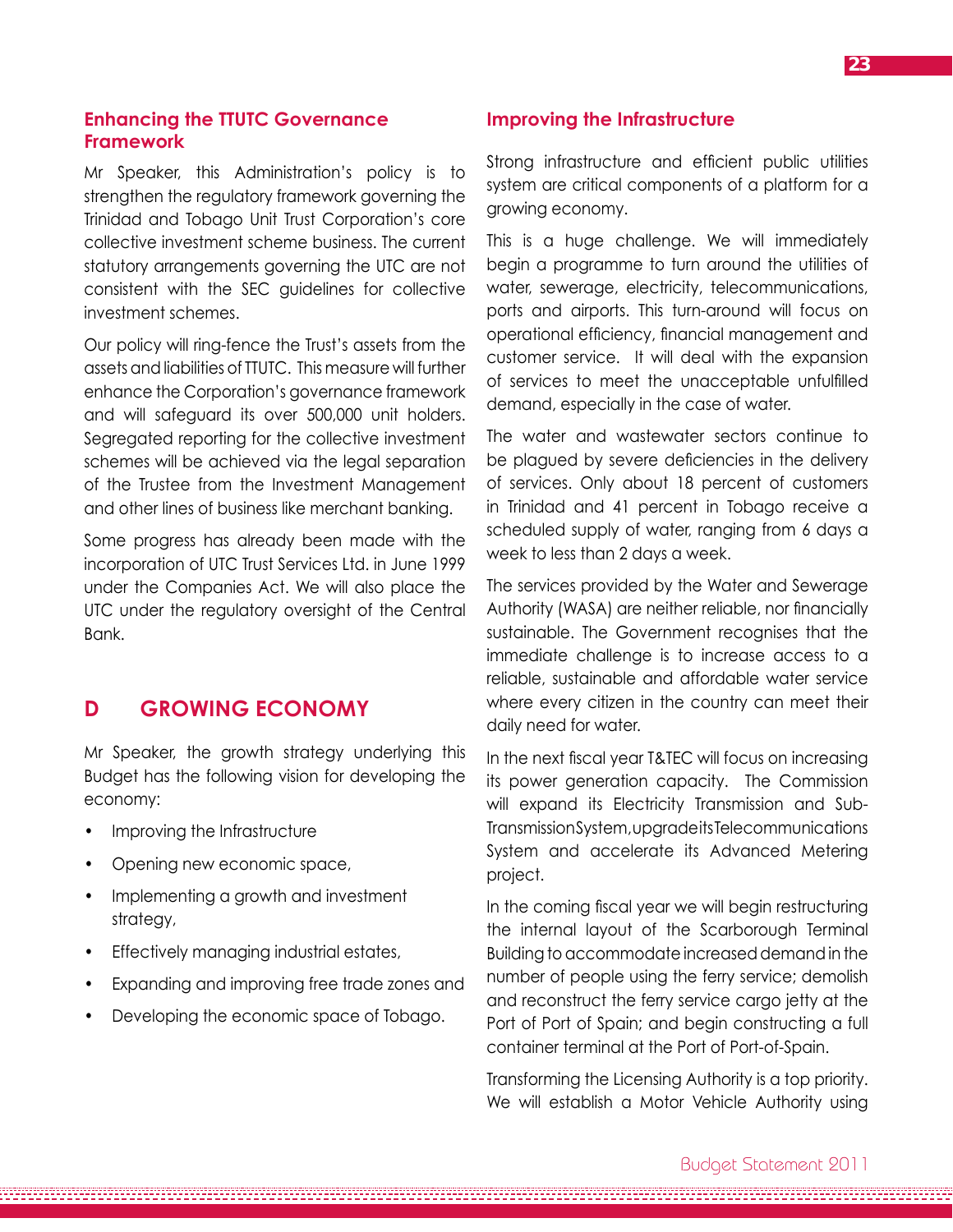## **Enhancing the TTUTC Governance Framework**

Mr Speaker, this Administration's policy is to strengthen the regulatory framework governing the Trinidad and Tobago Unit Trust Corporation's core collective investment scheme business. The current statutory arrangements governing the UTC are not consistent with the SEC guidelines for collective investment schemes.

Our policy will ring-fence the Trust's assets from the assets and liabilities of TTUTC. This measure will further enhance the Corporation's governance framework and will safeguard its over 500,000 unit holders. Segregated reporting for the collective investment schemes will be achieved via the legal separation of the Trustee from the Investment Management and other lines of business like merchant banking.

Some progress has already been made with the incorporation of UTC Trust Services Ltd. in June 1999 under the Companies Act. We will also place the UTC under the regulatory oversight of the Central Bank.

# **D Growing Economy**

Mr Speaker, the growth strategy underlying this Budget has the following vision for developing the economy:

- Improving the Infrastructure
- Opening new economic space,
- Implementing a growth and investment strategy,
- Effectively managing industrial estates,
- Expanding and improving free trade zones and
- Developing the economic space of Tobago.

#### **Improving the Infrastructure**

Strong infrastructure and efficient public utilities system are critical components of a platform for a growing economy.

This is a huge challenge. We will immediately begin a programme to turn around the utilities of water, sewerage, electricity, telecommunications, ports and airports. This turn-around will focus on operational efficiency, financial management and customer service. It will deal with the expansion of services to meet the unacceptable unfulfilled demand, especially in the case of water.

The water and wastewater sectors continue to be plagued by severe deficiencies in the delivery of services. Only about 18 percent of customers in Trinidad and 41 percent in Tobago receive a scheduled supply of water, ranging from 6 days a week to less than 2 days a week.

The services provided by the Water and Sewerage Authority (WASA) are neither reliable, nor financially sustainable. The Government recognises that the immediate challenge is to increase access to a reliable, sustainable and affordable water service where every citizen in the country can meet their daily need for water.

In the next fiscal year T&TEC will focus on increasing its power generation capacity. The Commission will expand its Electricity Transmission and Sub-Transmission System, upgrade its Telecommunications System and accelerate its Advanced Metering project.

In the coming fiscal year we will begin restructuring the internal layout of the Scarborough Terminal Building to accommodate increased demand in the number of people using the ferry service; demolish and reconstruct the ferry service cargo jetty at the Port of Port of Spain; and begin constructing a full container terminal at the Port of Port-of-Spain.

Transforming the Licensing Authority is a top priority. We will establish a Motor Vehicle Authority using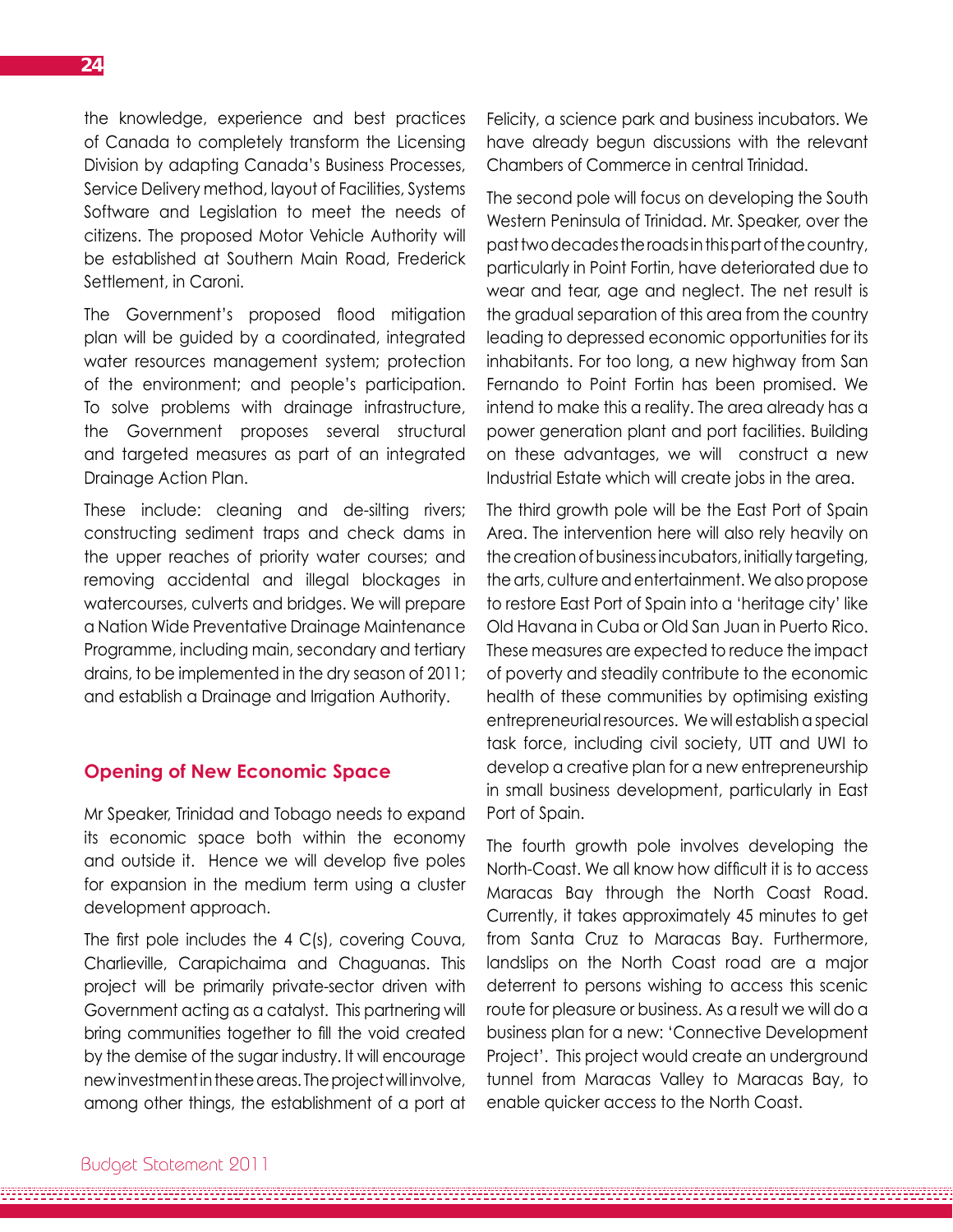the knowledge, experience and best practices of Canada to completely transform the Licensing Division by adapting Canada's Business Processes, Service Delivery method, layout of Facilities, Systems Software and Legislation to meet the needs of citizens. The proposed Motor Vehicle Authority will be established at Southern Main Road, Frederick

Settlement, in Caroni.

The Government's proposed flood mitigation plan will be guided by a coordinated, integrated water resources management system; protection of the environment; and people's participation. To solve problems with drainage infrastructure, the Government proposes several structural and targeted measures as part of an integrated Drainage Action Plan.

These include: cleaning and de-silting rivers; constructing sediment traps and check dams in the upper reaches of priority water courses; and removing accidental and illegal blockages in watercourses, culverts and bridges. We will prepare a Nation Wide Preventative Drainage Maintenance Programme, including main, secondary and tertiary drains, to be implemented in the dry season of 2011; and establish a Drainage and Irrigation Authority.

#### **Opening of New Economic Space**

Mr Speaker, Trinidad and Tobago needs to expand its economic space both within the economy and outside it. Hence we will develop five poles for expansion in the medium term using a cluster development approach.

The first pole includes the 4 C(s), covering Couva, Charlieville, Carapichaima and Chaguanas. This project will be primarily private-sector driven with Government acting as a catalyst. This partnering will bring communities together to fill the void created by the demise of the sugar industry. It will encourage new investment in these areas. The project will involve, among other things, the establishment of a port at Felicity, a science park and business incubators. We have already begun discussions with the relevant Chambers of Commerce in central Trinidad.

The second pole will focus on developing the South Western Peninsula of Trinidad. Mr. Speaker, over the past two decades the roads in this part of the country, particularly in Point Fortin, have deteriorated due to wear and tear, age and neglect. The net result is the gradual separation of this area from the country leading to depressed economic opportunities for its inhabitants. For too long, a new highway from San Fernando to Point Fortin has been promised. We intend to make this a reality. The area already has a power generation plant and port facilities. Building on these advantages, we will construct a new Industrial Estate which will create jobs in the area.

The third growth pole will be the East Port of Spain Area. The intervention here will also rely heavily on the creation of business incubators, initially targeting, the arts, culture and entertainment. We also propose to restore East Port of Spain into a 'heritage city' like Old Havana in Cuba or Old San Juan in Puerto Rico. These measures are expected to reduce the impact of poverty and steadily contribute to the economic health of these communities by optimising existing entrepreneurial resources. We will establish a special task force, including civil society, UTT and UWI to develop a creative plan for a new entrepreneurship in small business development, particularly in East Port of Spain.

The fourth growth pole involves developing the North-Coast. We all know how difficult it is to access Maracas Bay through the North Coast Road. Currently, it takes approximately 45 minutes to get from Santa Cruz to Maracas Bay. Furthermore, landslips on the North Coast road are a major deterrent to persons wishing to access this scenic route for pleasure or business. As a result we will do a business plan for a new: 'Connective Development Project'. This project would create an underground tunnel from Maracas Valley to Maracas Bay, to enable quicker access to the North Coast.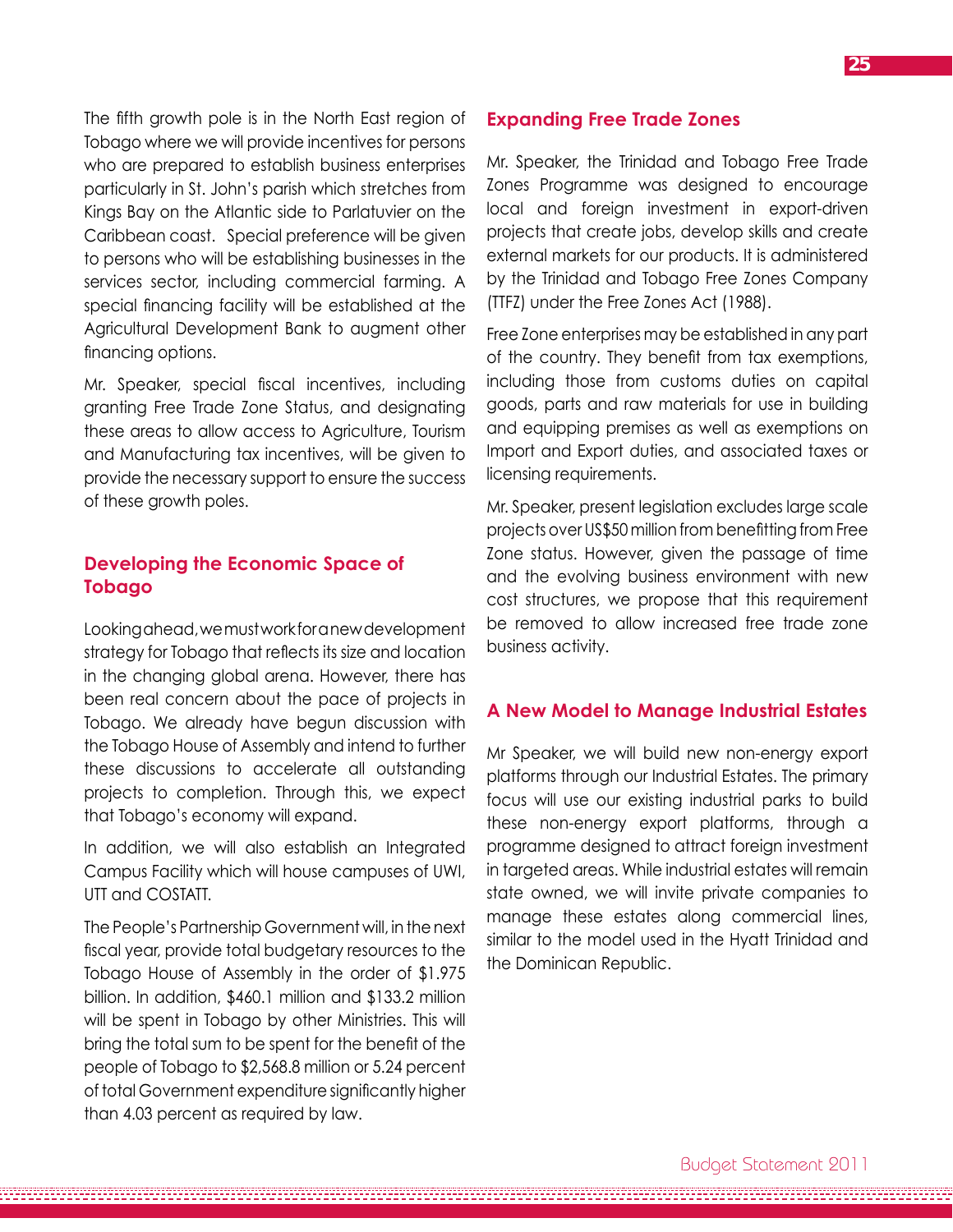The fifth growth pole is in the North East region of Tobago where we will provide incentives for persons who are prepared to establish business enterprises particularly in St. John's parish which stretches from Kings Bay on the Atlantic side to Parlatuvier on the Caribbean coast. Special preference will be given to persons who will be establishing businesses in the services sector, including commercial farming. A special financing facility will be established at the Agricultural Development Bank to augment other financing options.

Mr. Speaker, special fiscal incentives, including granting Free Trade Zone Status, and designating these areas to allow access to Agriculture, Tourism and Manufacturing tax incentives, will be given to provide the necessary support to ensure the success of these growth poles.

# **Developing the Economic Space of Tobago**

Looking ahead, we must work for a new development strategy for Tobago that reflects its size and location in the changing global arena. However, there has been real concern about the pace of projects in Tobago. We already have begun discussion with the Tobago House of Assembly and intend to further these discussions to accelerate all outstanding projects to completion. Through this, we expect that Tobago's economy will expand.

In addition, we will also establish an Integrated Campus Facility which will house campuses of UWI, UTT and COSTATT.

The People's Partnership Government will, in the next fiscal year, provide total budgetary resources to the Tobago House of Assembly in the order of \$1.975 billion. In addition, \$460.1 million and \$133.2 million will be spent in Tobago by other Ministries. This will bring the total sum to be spent for the benefit of the people of Tobago to \$2,568.8 million or 5.24 percent of total Government expenditure significantly higher than 4.03 percent as required by law.

### **Expanding Free Trade Zones**

Mr. Speaker, the Trinidad and Tobago Free Trade Zones Programme was designed to encourage local and foreign investment in export-driven projects that create jobs, develop skills and create external markets for our products. It is administered by the Trinidad and Tobago Free Zones Company (TTFZ) under the Free Zones Act (1988).

Free Zone enterprises may be established in any part of the country. They benefit from tax exemptions, including those from customs duties on capital goods, parts and raw materials for use in building and equipping premises as well as exemptions on Import and Export duties, and associated taxes or licensing requirements.

Mr. Speaker, present legislation excludes large scale projects over US\$50 million from benefitting from Free Zone status. However, given the passage of time and the evolving business environment with new cost structures, we propose that this requirement be removed to allow increased free trade zone business activity.

# **A New Model to Manage Industrial Estates**

Mr Speaker, we will build new non-energy export platforms through our Industrial Estates. The primary focus will use our existing industrial parks to build these non-energy export platforms, through a programme designed to attract foreign investment in targeted areas. While industrial estates will remain state owned, we will invite private companies to manage these estates along commercial lines, similar to the model used in the Hyatt Trinidad and the Dominican Republic.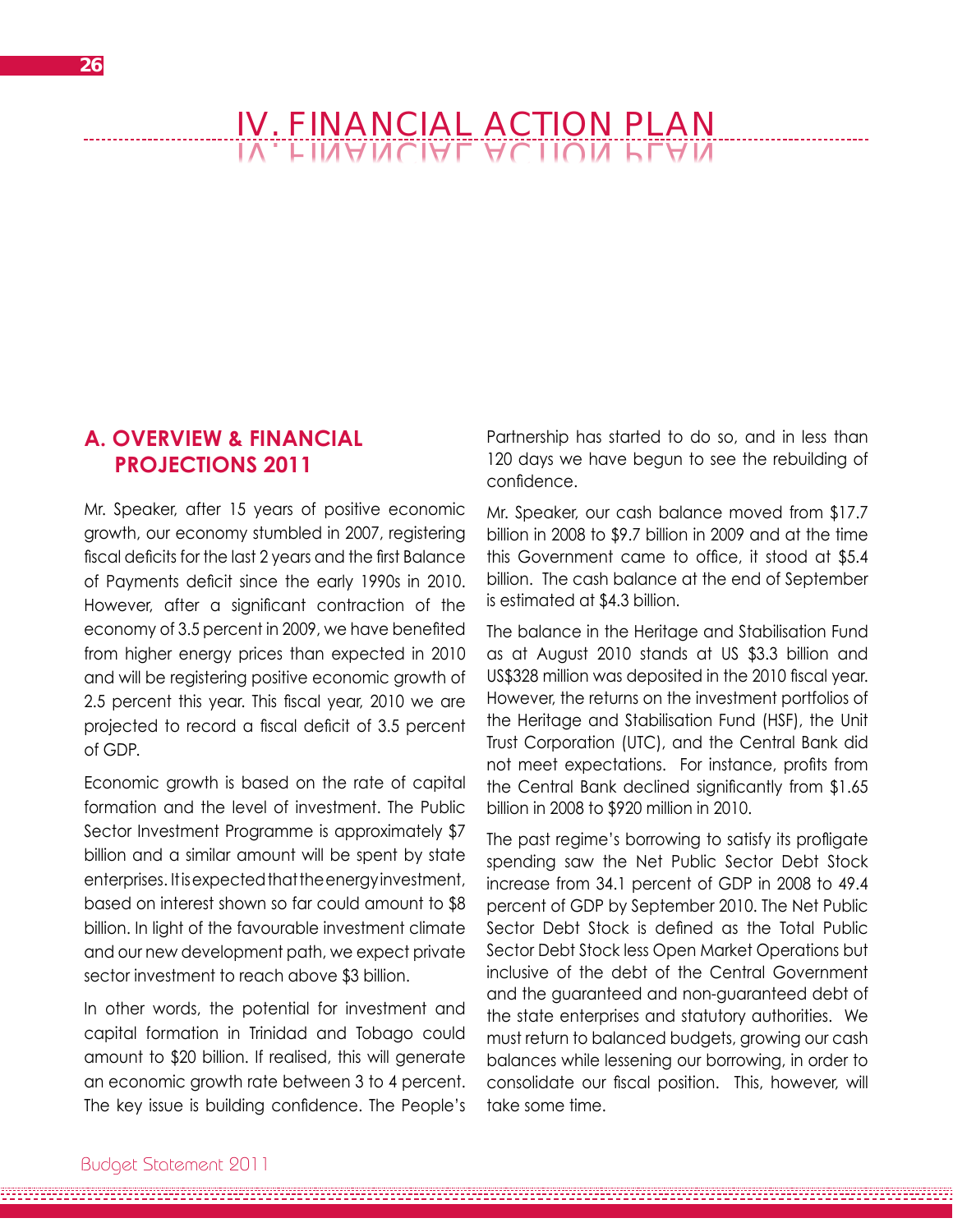# IV. FINANCIAL ACTION PLAN

# **A. Overview & Financial Projections 2011**

Mr. Speaker, after 15 years of positive economic growth, our economy stumbled in 2007, registering fiscal deficits for the last 2 years and the first Balance of Payments deficit since the early 1990s in 2010. However, after a significant contraction of the economy of 3.5 percent in 2009, we have benefited from higher energy prices than expected in 2010 and will be registering positive economic growth of 2.5 percent this year. This fiscal year, 2010 we are projected to record a fiscal deficit of 3.5 percent of GDP.

Economic growth is based on the rate of capital formation and the level of investment. The Public Sector Investment Programme is approximately \$7 billion and a similar amount will be spent by state enterprises. It is expected that the energy investment, based on interest shown so far could amount to \$8 billion. In light of the favourable investment climate and our new development path, we expect private sector investment to reach above \$3 billion.

In other words, the potential for investment and capital formation in Trinidad and Tobago could amount to \$20 billion. If realised, this will generate an economic growth rate between 3 to 4 percent. The key issue is building confidence. The People's Partnership has started to do so, and in less than 120 days we have begun to see the rebuilding of confidence.

Mr. Speaker, our cash balance moved from \$17.7 billion in 2008 to \$9.7 billion in 2009 and at the time this Government came to office, it stood at \$5.4 billion. The cash balance at the end of September is estimated at \$4.3 billion.

The balance in the Heritage and Stabilisation Fund as at August 2010 stands at US \$3.3 billion and US\$328 million was deposited in the 2010 fiscal year. However, the returns on the investment portfolios of the Heritage and Stabilisation Fund (HSF), the Unit Trust Corporation (UTC), and the Central Bank did not meet expectations. For instance, profits from the Central Bank declined significantly from \$1.65 billion in 2008 to \$920 million in 2010.

The past regime's borrowing to satisfy its profligate spending saw the Net Public Sector Debt Stock increase from 34.1 percent of GDP in 2008 to 49.4 percent of GDP by September 2010. The Net Public Sector Debt Stock is defined as the Total Public Sector Debt Stock less Open Market Operations but inclusive of the debt of the Central Government and the guaranteed and non-guaranteed debt of the state enterprises and statutory authorities. We must return to balanced budgets, growing our cash balances while lessening our borrowing, in order to consolidate our fiscal position. This, however, will take some time.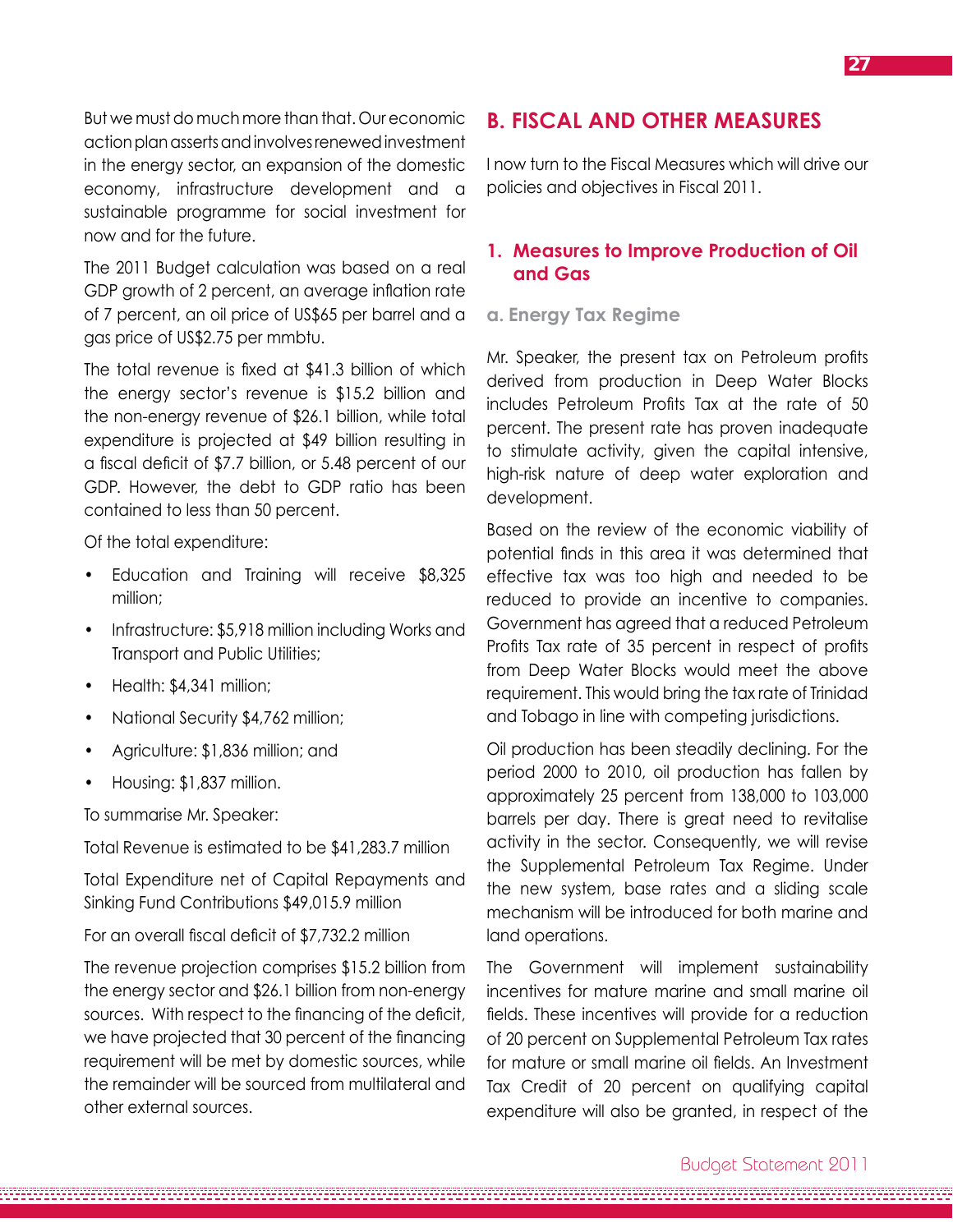But we must do much more than that. Our economic action plan asserts and involves renewed investment in the energy sector, an expansion of the domestic economy, infrastructure development and a sustainable programme for social investment for now and for the future.

The 2011 Budget calculation was based on a real GDP growth of 2 percent, an average inflation rate of 7 percent, an oil price of US\$65 per barrel and a gas price of US\$2.75 per mmbtu.

The total revenue is fixed at \$41.3 billion of which the energy sector's revenue is \$15.2 billion and the non-energy revenue of \$26.1 billion, while total expenditure is projected at \$49 billion resulting in a fiscal deficit of \$7.7 billion, or 5.48 percent of our GDP. However, the debt to GDP ratio has been contained to less than 50 percent.

Of the total expenditure:

- Education and Training will receive \$8,325 million;
- Infrastructure: \$5,918 million including Works and Transport and Public Utilities;
- Health: \$4,341 million;
- National Security \$4,762 million;
- Agriculture: \$1,836 million; and
- Housing: \$1,837 million.

To summarise Mr. Speaker:

Total Revenue is estimated to be \$41,283.7 million

Total Expenditure net of Capital Repayments and Sinking Fund Contributions \$49,015.9 million

For an overall fiscal deficit of \$7,732.2 million

The revenue projection comprises \$15.2 billion from the energy sector and \$26.1 billion from non-energy sources. With respect to the financing of the deficit, we have projected that 30 percent of the financing requirement will be met by domestic sources, while the remainder will be sourced from multilateral and other external sources.

# **B. Fiscal and Other Measures**

I now turn to the Fiscal Measures which will drive our policies and objectives in Fiscal 2011.

# **1. Measures to Improve Production of Oil and Gas**

#### **a. Energy Tax Regime**

Mr. Speaker, the present tax on Petroleum profits derived from production in Deep Water Blocks includes Petroleum Profits Tax at the rate of 50 percent. The present rate has proven inadequate to stimulate activity, given the capital intensive, high-risk nature of deep water exploration and development.

Based on the review of the economic viability of potential finds in this area it was determined that effective tax was too high and needed to be reduced to provide an incentive to companies. Government has agreed that a reduced Petroleum Profits Tax rate of 35 percent in respect of profits from Deep Water Blocks would meet the above requirement. This would bring the tax rate of Trinidad and Tobago in line with competing jurisdictions.

Oil production has been steadily declining. For the period 2000 to 2010, oil production has fallen by approximately 25 percent from 138,000 to 103,000 barrels per day. There is great need to revitalise activity in the sector. Consequently, we will revise the Supplemental Petroleum Tax Regime. Under the new system, base rates and a sliding scale mechanism will be introduced for both marine and land operations.

The Government will implement sustainability incentives for mature marine and small marine oil fields. These incentives will provide for a reduction of 20 percent on Supplemental Petroleum Tax rates for mature or small marine oil fields. An Investment Tax Credit of 20 percent on qualifying capital expenditure will also be granted, in respect of the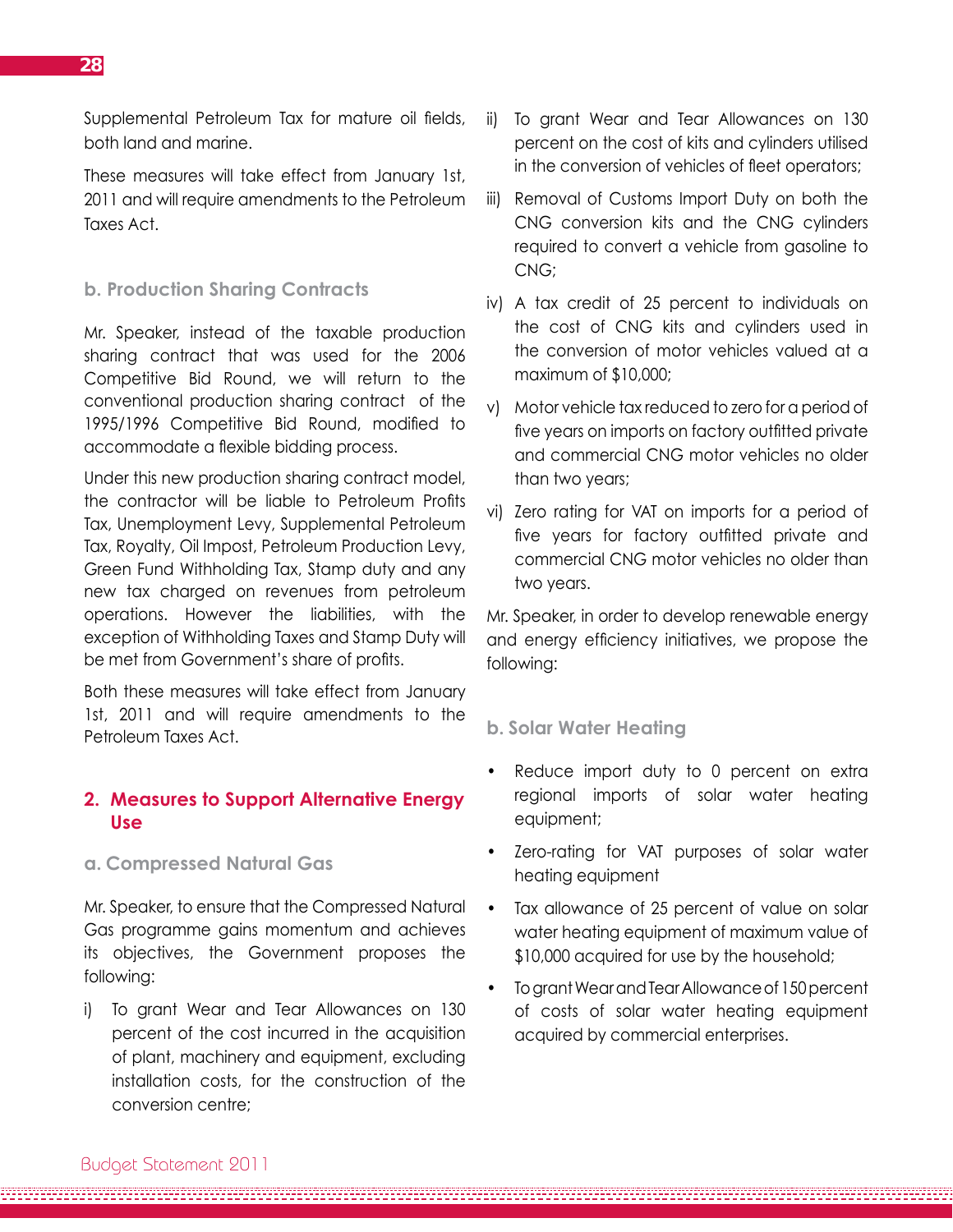Supplemental Petroleum Tax for mature oil fields, both land and marine.

These measures will take effect from January 1st, 2011 and will require amendments to the Petroleum Taxes Act.

# **b. Production Sharing Contracts**

Mr. Speaker, instead of the taxable production sharing contract that was used for the 2006 Competitive Bid Round, we will return to the conventional production sharing contract of the 1995/1996 Competitive Bid Round, modified to accommodate a flexible bidding process.

Under this new production sharing contract model, the contractor will be liable to Petroleum Profits Tax, Unemployment Levy, Supplemental Petroleum Tax, Royalty, Oil Impost, Petroleum Production Levy, Green Fund Withholding Tax, Stamp duty and any new tax charged on revenues from petroleum operations. However the liabilities, with the exception of Withholding Taxes and Stamp Duty will be met from Government's share of profits.

Both these measures will take effect from January 1st, 2011 and will require amendments to the Petroleum Taxes Act.

# **2. Measures to Support Alternative Energy Use**

# **a. Compressed Natural Gas**

Mr. Speaker, to ensure that the Compressed Natural Gas programme gains momentum and achieves its objectives, the Government proposes the following:

i) To grant Wear and Tear Allowances on 130 percent of the cost incurred in the acquisition of plant, machinery and equipment, excluding installation costs, for the construction of the conversion centre;

- ii) To grant Wear and Tear Allowances on 130 percent on the cost of kits and cylinders utilised in the conversion of vehicles of fleet operators;
- iii) Removal of Customs Import Duty on both the CNG conversion kits and the CNG cylinders required to convert a vehicle from gasoline to CNG;
- iv) A tax credit of 25 percent to individuals on the cost of CNG kits and cylinders used in the conversion of motor vehicles valued at a maximum of \$10,000;
- v) Motor vehicle tax reduced to zero for a period of five years on imports on factory outfitted private and commercial CNG motor vehicles no older than two years;
- vi) Zero rating for VAT on imports for a period of five years for factory outfitted private and commercial CNG motor vehicles no older than two years.

Mr. Speaker, in order to develop renewable energy and energy efficiency initiatives, we propose the following:

# **b. Solar Water Heating**

- Reduce import duty to 0 percent on extra regional imports of solar water heating equipment;
- Zero-rating for VAT purposes of solar water heating equipment
- Tax allowance of 25 percent of value on solar water heating equipment of maximum value of \$10,000 acquired for use by the household;
- To grant Wear and Tear Allowance of 150 percent of costs of solar water heating equipment acquired by commercial enterprises.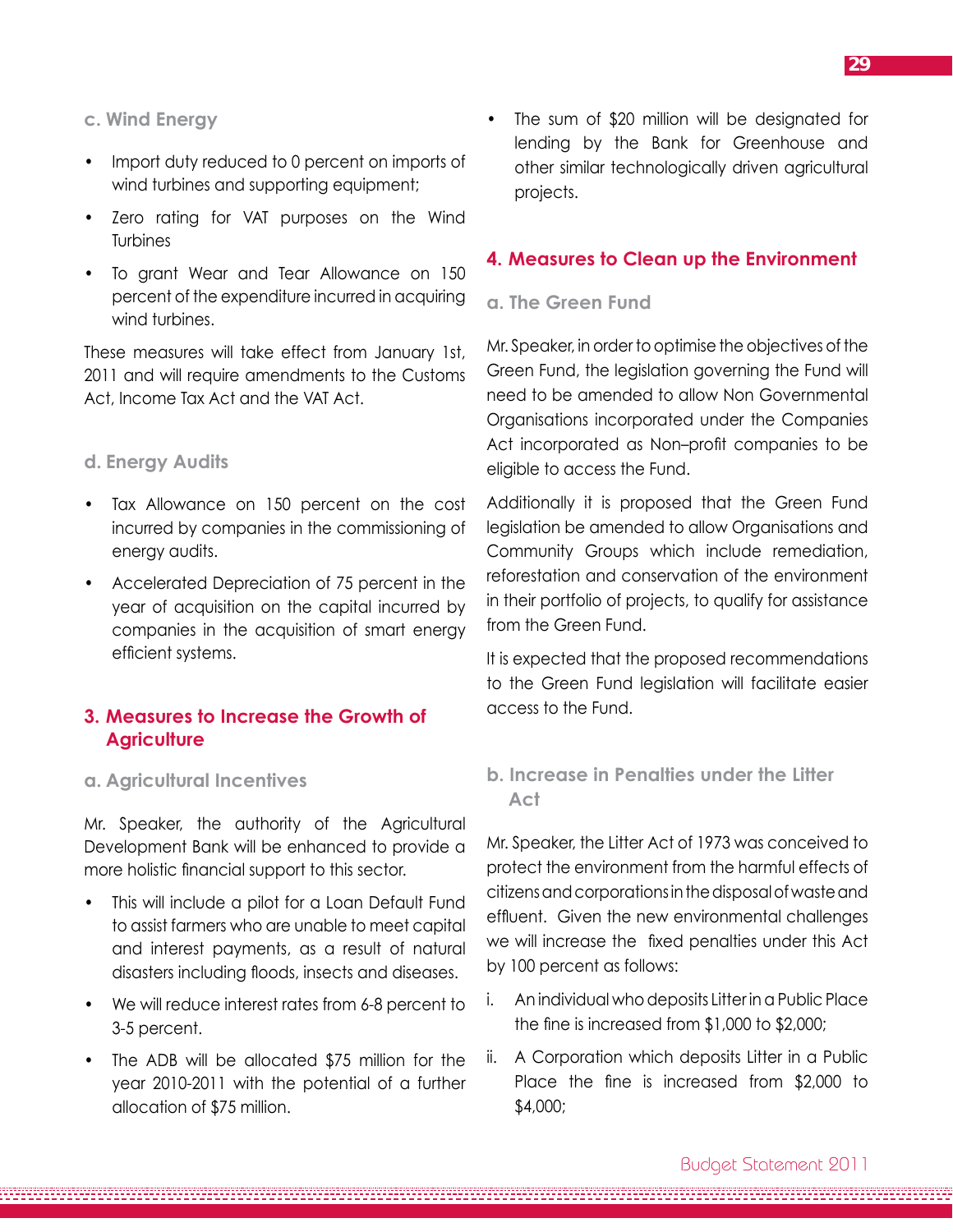- Import duty reduced to 0 percent on imports of wind turbines and supporting equipment;
- Zero rating for VAT purposes on the Wind Turbines
- To grant Wear and Tear Allowance on 150 percent of the expenditure incurred in acquiring wind turbines.

These measures will take effect from January 1st, 2011 and will require amendments to the Customs Act, Income Tax Act and the VAT Act.

#### **d. Energy Audits**

- Tax Allowance on 150 percent on the cost incurred by companies in the commissioning of energy audits.
- Accelerated Depreciation of 75 percent in the year of acquisition on the capital incurred by companies in the acquisition of smart energy efficient systems.

### **3. Measures to Increase the Growth of Agriculture**

#### **a. Agricultural Incentives**

Mr. Speaker, the authority of the Agricultural Development Bank will be enhanced to provide a more holistic financial support to this sector.

- This will include a pilot for a Loan Default Fund to assist farmers who are unable to meet capital and interest payments, as a result of natural disasters including floods, insects and diseases.
- We will reduce interest rates from 6-8 percent to 3-5 percent.
- The ADB will be allocated \$75 million for the year 2010-2011 with the potential of a further allocation of \$75 million.

• The sum of \$20 million will be designated for lending by the Bank for Greenhouse and other similar technologically driven agricultural projects.

#### **4. Measures to Clean up the Environment**

#### **a. The Green Fund**

Mr. Speaker, in order to optimise the objectives of the Green Fund, the legislation governing the Fund will need to be amended to allow Non Governmental Organisations incorporated under the Companies Act incorporated as Non–profit companies to be eligible to access the Fund.

Additionally it is proposed that the Green Fund legislation be amended to allow Organisations and Community Groups which include remediation, reforestation and conservation of the environment in their portfolio of projects, to qualify for assistance from the Green Fund.

It is expected that the proposed recommendations to the Green Fund legislation will facilitate easier access to the Fund.

# **b. Increase in Penalties under the Litter Act**

Mr. Speaker, the Litter Act of 1973 was conceived to protect the environment from the harmful effects of citizens and corporations in the disposal of waste and effluent. Given the new environmental challenges we will increase the fixed penalties under this Act by 100 percent as follows:

- i. An individual who deposits Litter in a Public Place the fine is increased from \$1,000 to \$2,000;
- ii. A Corporation which deposits Litter in a Public Place the fine is increased from \$2,000 to \$4,000;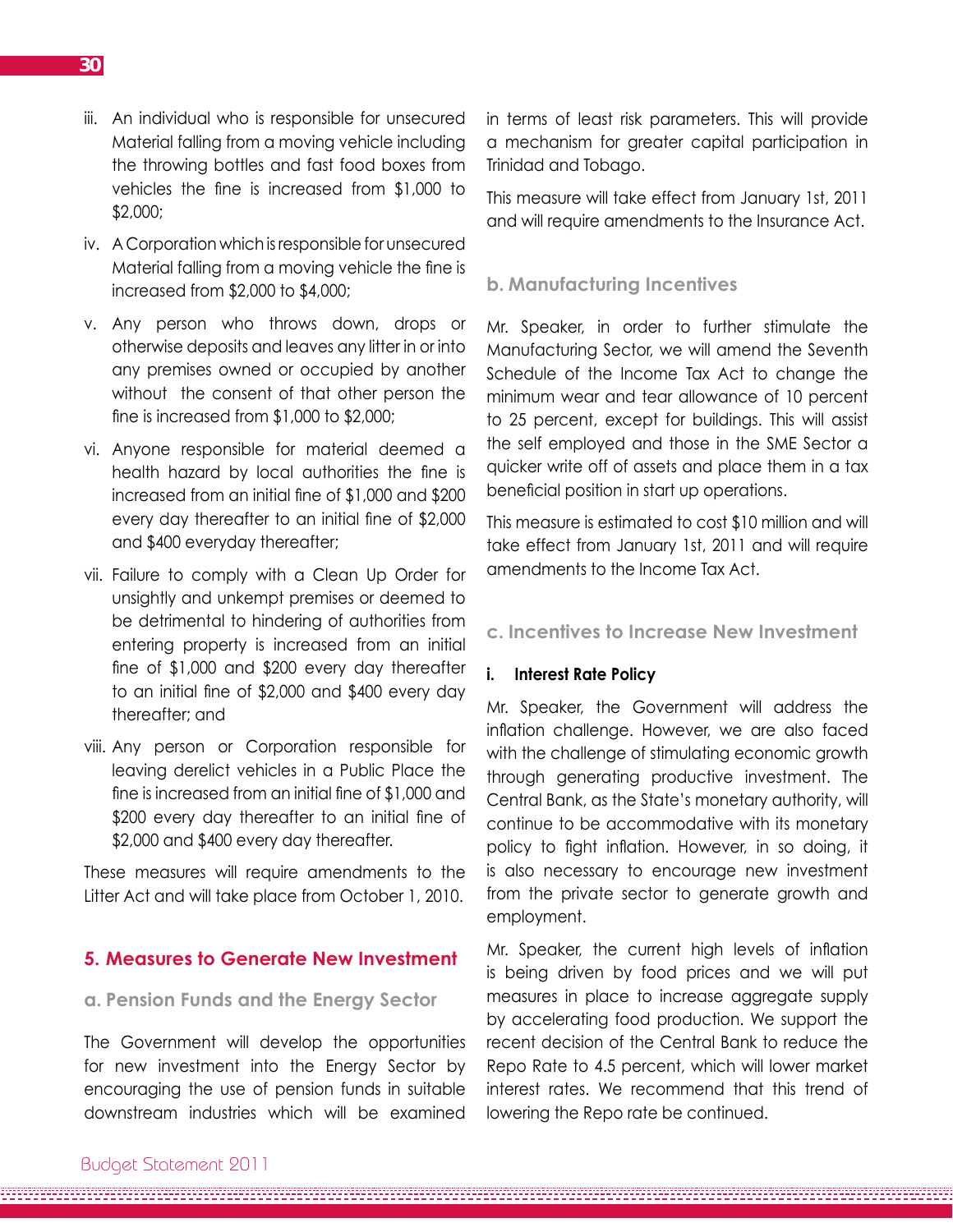- iii. An individual who is responsible for unsecured Material falling from a moving vehicle including the throwing bottles and fast food boxes from vehicles the fine is increased from \$1,000 to \$2,000;
- iv. A Corporation which is responsible for unsecured Material falling from a moving vehicle the fine is increased from \$2,000 to \$4,000;
- v. Any person who throws down, drops or otherwise deposits and leaves any litter in or into any premises owned or occupied by another without the consent of that other person the fine is increased from \$1,000 to \$2,000;
- vi. Anyone responsible for material deemed a health hazard by local authorities the fine is increased from an initial fine of \$1,000 and \$200 every day thereafter to an initial fine of \$2,000 and \$400 everyday thereafter;
- vii. Failure to comply with a Clean Up Order for unsightly and unkempt premises or deemed to be detrimental to hindering of authorities from entering property is increased from an initial fine of \$1,000 and \$200 every day thereafter to an initial fine of \$2,000 and \$400 every day thereafter; and
- viii. Any person or Corporation responsible for leaving derelict vehicles in a Public Place the fine is increased from an initial fine of \$1,000 and \$200 every day thereafter to an initial fine of \$2,000 and \$400 every day thereafter.

These measures will require amendments to the Litter Act and will take place from October 1, 2010.

# **5. Measures to Generate New Investment**

#### **a. Pension Funds and the Energy Sector**

The Government will develop the opportunities for new investment into the Energy Sector by encouraging the use of pension funds in suitable downstream industries which will be examined in terms of least risk parameters. This will provide a mechanism for greater capital participation in Trinidad and Tobago.

This measure will take effect from January 1st, 2011 and will require amendments to the Insurance Act.

# **b. Manufacturing Incentives**

Mr. Speaker, in order to further stimulate the Manufacturing Sector, we will amend the Seventh Schedule of the Income Tax Act to change the minimum wear and tear allowance of 10 percent to 25 percent, except for buildings. This will assist the self employed and those in the SME Sector a quicker write off of assets and place them in a tax beneficial position in start up operations.

This measure is estimated to cost \$10 million and will take effect from January 1st, 2011 and will require amendments to the Income Tax Act.

# **c. Incentives to Increase New Investment**

#### **i. Interest Rate Policy**

Mr. Speaker, the Government will address the inflation challenge. However, we are also faced with the challenge of stimulating economic growth through generating productive investment. The Central Bank, as the State's monetary authority, will continue to be accommodative with its monetary policy to fight inflation. However, in so doing, it is also necessary to encourage new investment from the private sector to generate growth and employment.

Mr. Speaker, the current high levels of inflation is being driven by food prices and we will put measures in place to increase aggregate supply by accelerating food production. We support the recent decision of the Central Bank to reduce the Repo Rate to 4.5 percent, which will lower market interest rates. We recommend that this trend of lowering the Repo rate be continued.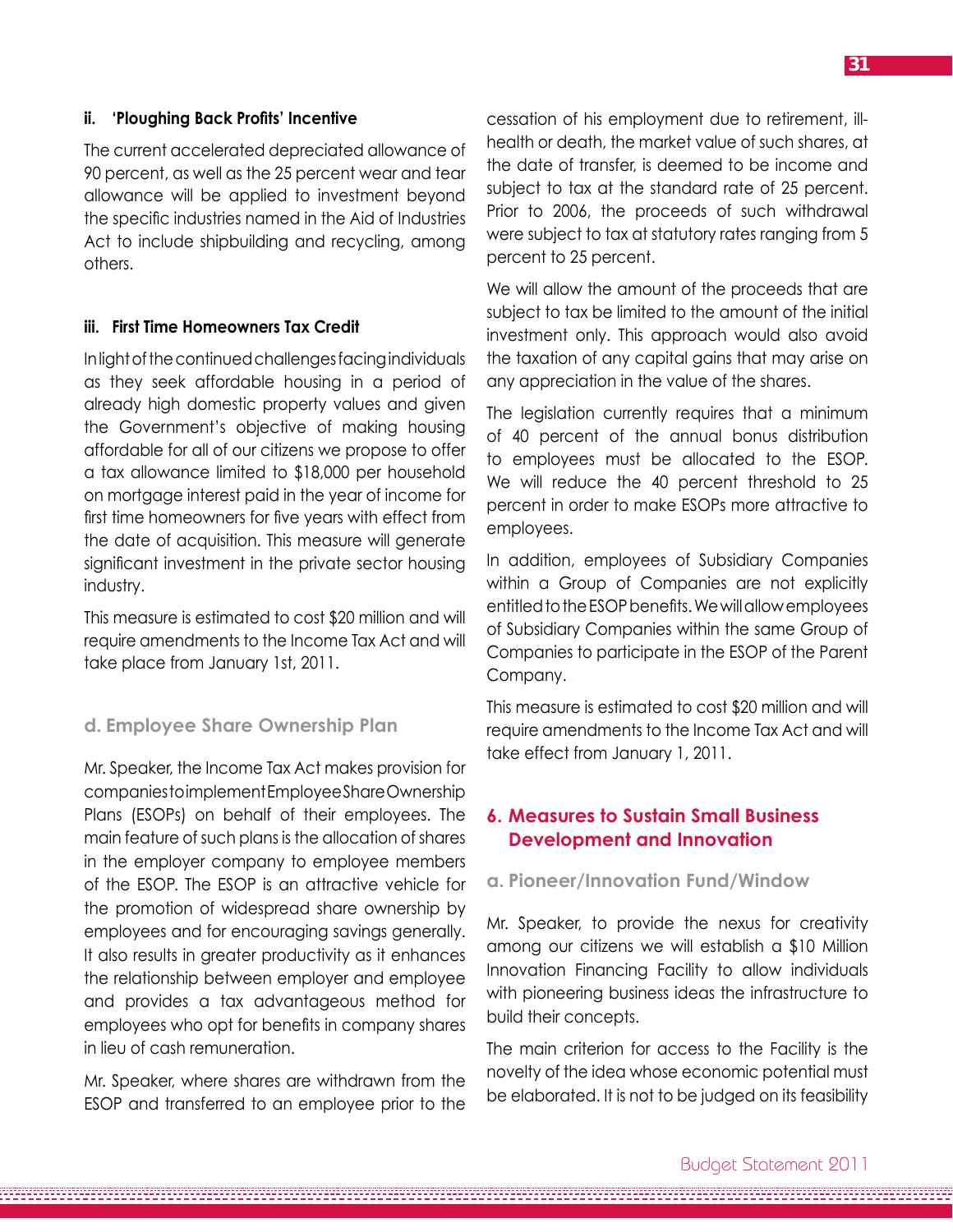#### **ii. 'Ploughing Back Profits' Incentive**

The current accelerated depreciated allowance of 90 percent, as well as the 25 percent wear and tear allowance will be applied to investment beyond the specific industries named in the Aid of Industries Act to include shipbuilding and recycling, among others.

#### **iii. First Time Homeowners Tax Credit**

In light of the continued challenges facing individuals as they seek affordable housing in a period of already high domestic property values and given the Government's objective of making housing affordable for all of our citizens we propose to offer a tax allowance limited to \$18,000 per household on mortgage interest paid in the year of income for first time homeowners for five years with effect from the date of acquisition. This measure will generate significant investment in the private sector housing industry.

This measure is estimated to cost \$20 million and will require amendments to the Income Tax Act and will take place from January 1st, 2011.

#### **d. Employee Share Ownership Plan**

Mr. Speaker, the Income Tax Act makes provision for companies to implement Employee Share Ownership Plans (ESOPs) on behalf of their employees. The main feature of such plans is the allocation of shares in the employer company to employee members of the ESOP. The ESOP is an attractive vehicle for the promotion of widespread share ownership by employees and for encouraging savings generally. It also results in greater productivity as it enhances the relationship between employer and employee and provides a tax advantageous method for employees who opt for benefits in company shares in lieu of cash remuneration.

Mr. Speaker, where shares are withdrawn from the ESOP and transferred to an employee prior to the cessation of his employment due to retirement, illhealth or death, the market value of such shares, at the date of transfer, is deemed to be income and subject to tax at the standard rate of 25 percent. Prior to 2006, the proceeds of such withdrawal were subject to tax at statutory rates ranging from 5 percent to 25 percent.

We will allow the amount of the proceeds that are subject to tax be limited to the amount of the initial investment only. This approach would also avoid the taxation of any capital gains that may arise on any appreciation in the value of the shares.

The legislation currently requires that a minimum of 40 percent of the annual bonus distribution to employees must be allocated to the ESOP. We will reduce the 40 percent threshold to 25 percent in order to make ESOPs more attractive to employees.

In addition, employees of Subsidiary Companies within a Group of Companies are not explicitly entitled to the ESOP benefits. We will allow employees of Subsidiary Companies within the same Group of Companies to participate in the ESOP of the Parent Company.

This measure is estimated to cost \$20 million and will require amendments to the Income Tax Act and will take effect from January 1, 2011.

## **6. Measures to Sustain Small Business Development and Innovation**

#### **a. Pioneer/Innovation Fund/Window**

Mr. Speaker, to provide the nexus for creativity among our citizens we will establish a \$10 Million Innovation Financing Facility to allow individuals with pioneering business ideas the infrastructure to build their concepts.

The main criterion for access to the Facility is the novelty of the idea whose economic potential must be elaborated. It is not to be judged on its feasibility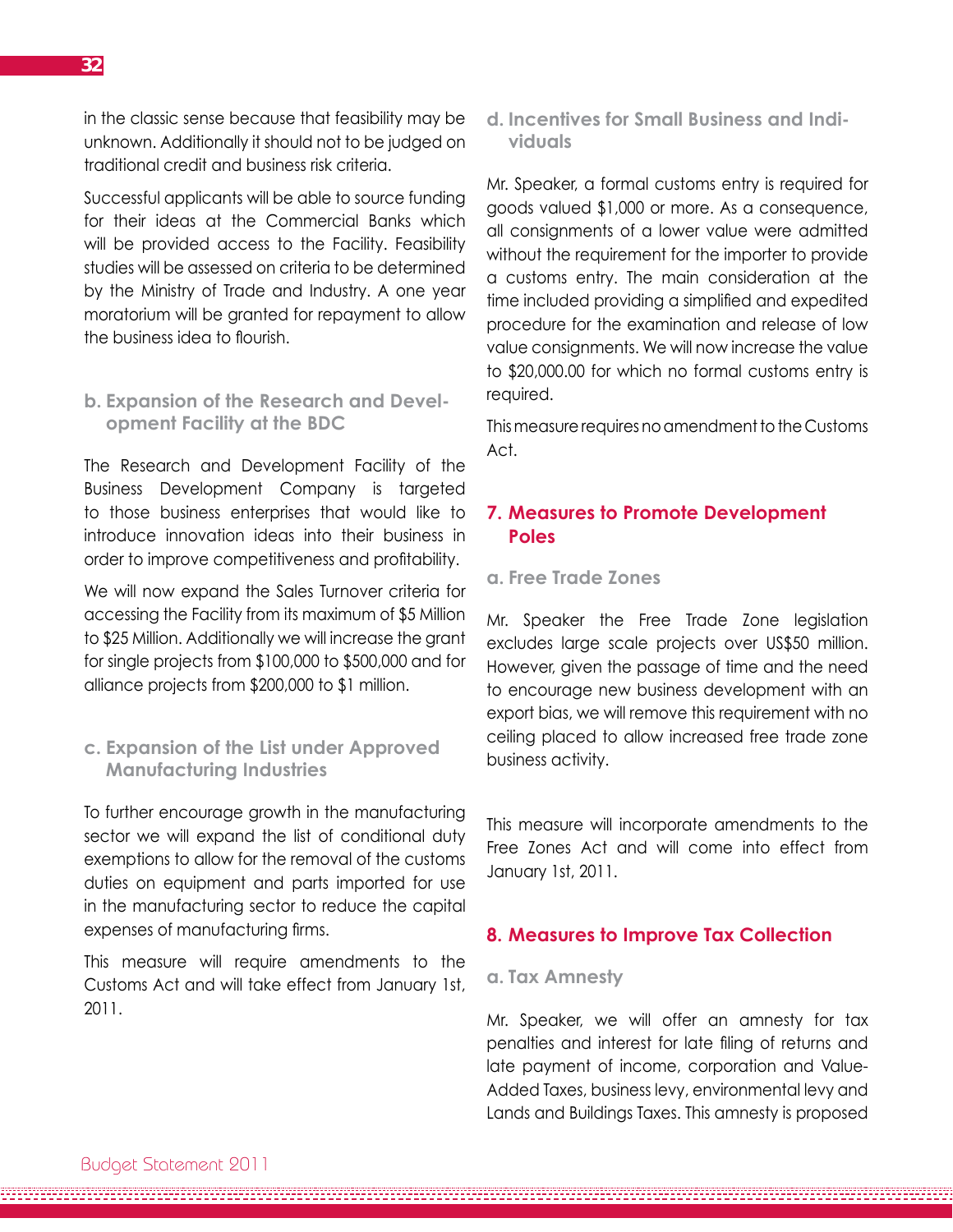in the classic sense because that feasibility may be unknown. Additionally it should not to be judged on traditional credit and business risk criteria.

Successful applicants will be able to source funding for their ideas at the Commercial Banks which will be provided access to the Facility. Feasibility studies will be assessed on criteria to be determined by the Ministry of Trade and Industry. A one year moratorium will be granted for repayment to allow the business idea to flourish.

# **b. Expansion of the Research and Development Facility at the BDC**

The Research and Development Facility of the Business Development Company is targeted to those business enterprises that would like to introduce innovation ideas into their business in order to improve competitiveness and profitability.

We will now expand the Sales Turnover criteria for accessing the Facility from its maximum of \$5 Million to \$25 Million. Additionally we will increase the grant for single projects from \$100,000 to \$500,000 and for alliance projects from \$200,000 to \$1 million.

# **c. Expansion of the List under Approved Manufacturing Industries**

To further encourage growth in the manufacturing sector we will expand the list of conditional duty exemptions to allow for the removal of the customs duties on equipment and parts imported for use in the manufacturing sector to reduce the capital expenses of manufacturing firms.

This measure will require amendments to the Customs Act and will take effect from January 1st, 2011.

**d. Incentives for Small Business and Individuals**

Mr. Speaker, a formal customs entry is required for goods valued \$1,000 or more. As a consequence, all consignments of a lower value were admitted without the requirement for the importer to provide a customs entry. The main consideration at the time included providing a simplified and expedited procedure for the examination and release of low value consignments. We will now increase the value to \$20,000.00 for which no formal customs entry is required.

This measure requires no amendment to the Customs Act.

# **7. Measures to Promote Development Poles**

### **a. Free Trade Zones**

Mr. Speaker the Free Trade Zone legislation excludes large scale projects over US\$50 million. However, given the passage of time and the need to encourage new business development with an export bias, we will remove this requirement with no ceiling placed to allow increased free trade zone business activity.

This measure will incorporate amendments to the Free Zones Act and will come into effect from January 1st, 2011.

# **8. Measures to Improve Tax Collection**

#### **a. Tax Amnesty**

Mr. Speaker, we will offer an amnesty for tax penalties and interest for late filing of returns and late payment of income, corporation and Value-Added Taxes, business levy, environmental levy and Lands and Buildings Taxes. This amnesty is proposed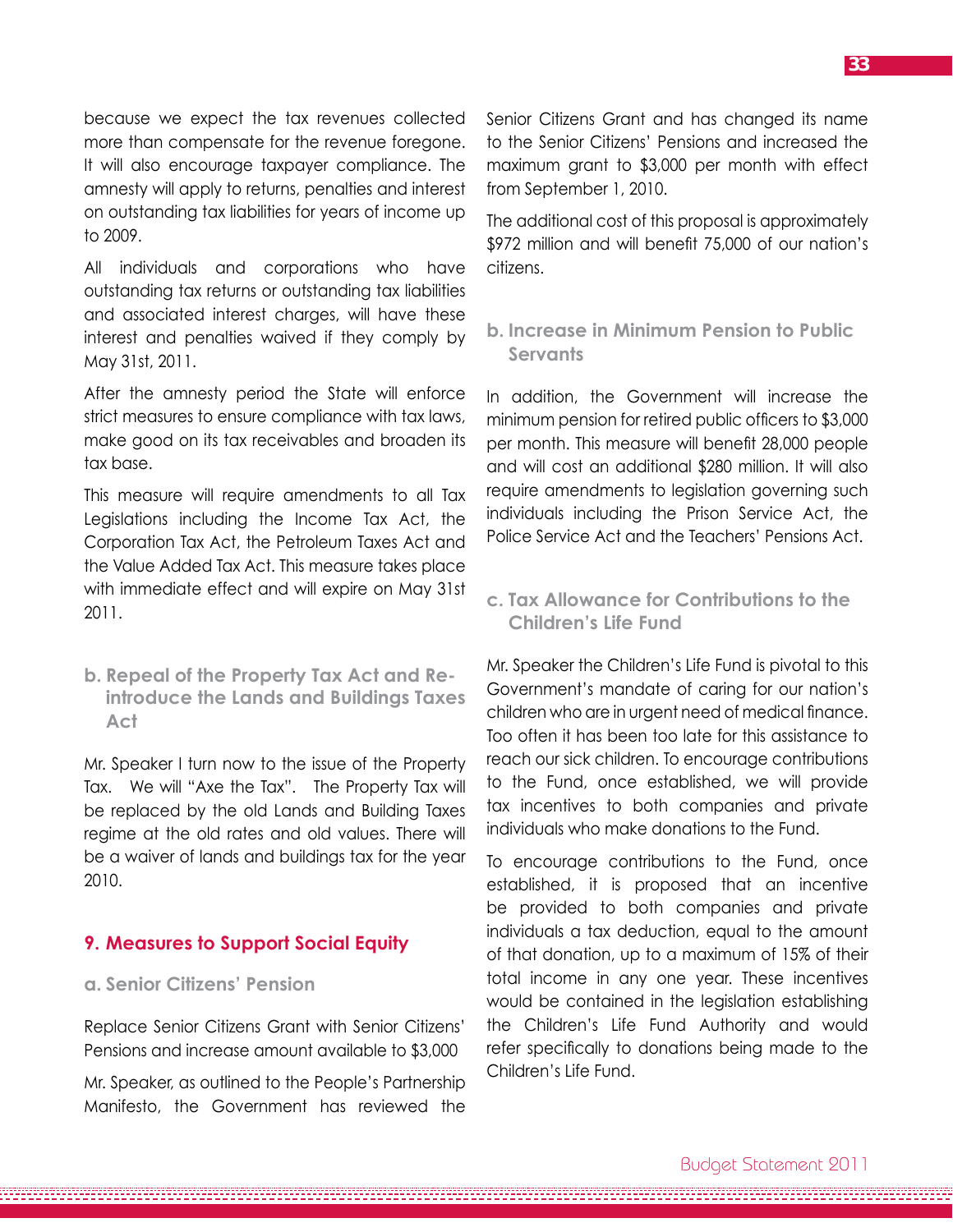because we expect the tax revenues collected more than compensate for the revenue foregone. It will also encourage taxpayer compliance. The amnesty will apply to returns, penalties and interest on outstanding tax liabilities for years of income up to 2009.

All individuals and corporations who have outstanding tax returns or outstanding tax liabilities and associated interest charges, will have these interest and penalties waived if they comply by May 31st, 2011.

After the amnesty period the State will enforce strict measures to ensure compliance with tax laws, make good on its tax receivables and broaden its tax base.

This measure will require amendments to all Tax Legislations including the Income Tax Act, the Corporation Tax Act, the Petroleum Taxes Act and the Value Added Tax Act. This measure takes place with immediate effect and will expire on May 31st 2011.

**b. Repeal of the Property Tax Act and Reintroduce the Lands and Buildings Taxes Act**

Mr. Speaker I turn now to the issue of the Property Tax. We will "Axe the Tax". The Property Tax will be replaced by the old Lands and Building Taxes regime at the old rates and old values. There will be a waiver of lands and buildings tax for the year 2010.

# **9. Measures to Support Social Equity**

# **a. Senior Citizens' Pension**

Replace Senior Citizens Grant with Senior Citizens' Pensions and increase amount available to \$3,000

Mr. Speaker, as outlined to the People's Partnership Manifesto, the Government has reviewed the Senior Citizens Grant and has changed its name to the Senior Citizens' Pensions and increased the maximum grant to \$3,000 per month with effect from September 1, 2010.

The additional cost of this proposal is approximately \$972 million and will benefit 75,000 of our nation's citizens.

# **b. Increase in Minimum Pension to Public Servants**

In addition, the Government will increase the minimum pension for retired public officers to \$3,000 per month. This measure will benefit 28,000 people and will cost an additional \$280 million. It will also require amendments to legislation governing such individuals including the Prison Service Act, the Police Service Act and the Teachers' Pensions Act.

# **c. Tax Allowance for Contributions to the Children's Life Fund**

Mr. Speaker the Children's Life Fund is pivotal to this Government's mandate of caring for our nation's children who are in urgent need of medical finance. Too often it has been too late for this assistance to reach our sick children. To encourage contributions to the Fund, once established, we will provide tax incentives to both companies and private individuals who make donations to the Fund.

To encourage contributions to the Fund, once established, it is proposed that an incentive be provided to both companies and private individuals a tax deduction, equal to the amount of that donation, up to a maximum of 15% of their total income in any one year. These incentives would be contained in the legislation establishing the Children's Life Fund Authority and would refer specifically to donations being made to the Children's Life Fund.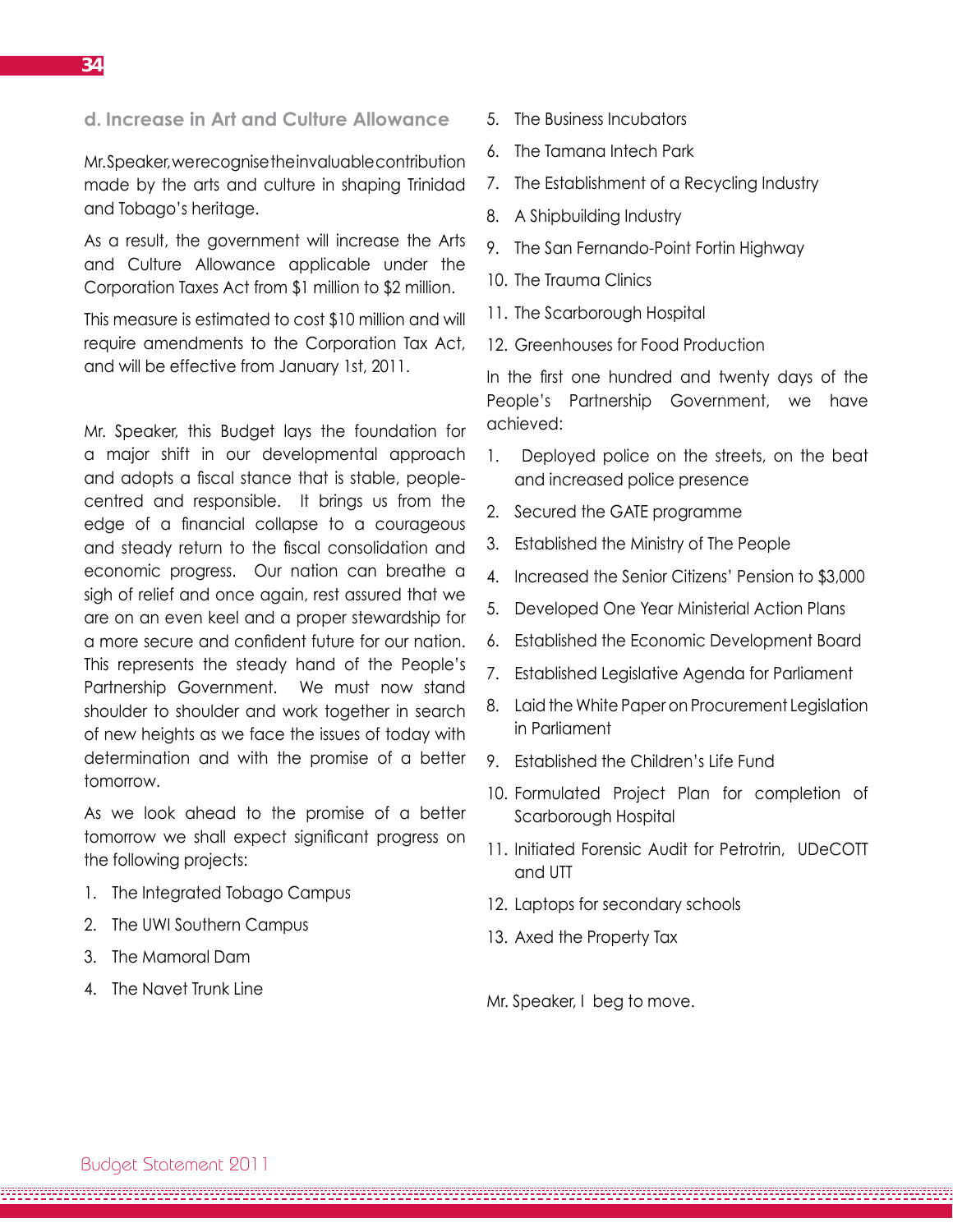#### **d. Increase in Art and Culture Allowance**

Mr. Speaker, we recognise the invaluable contribution made by the arts and culture in shaping Trinidad and Tobago's heritage.

As a result, the government will increase the Arts and Culture Allowance applicable under the Corporation Taxes Act from \$1 million to \$2 million.

This measure is estimated to cost \$10 million and will require amendments to the Corporation Tax Act, and will be effective from January 1st, 2011.

Mr. Speaker, this Budget lays the foundation for a major shift in our developmental approach and adopts a fiscal stance that is stable, peoplecentred and responsible. It brings us from the edge of a financial collapse to a courageous and steady return to the fiscal consolidation and economic progress. Our nation can breathe a sigh of relief and once again, rest assured that we are on an even keel and a proper stewardship for a more secure and confident future for our nation. This represents the steady hand of the People's Partnership Government. We must now stand shoulder to shoulder and work together in search of new heights as we face the issues of today with determination and with the promise of a better tomorrow.

As we look ahead to the promise of a better tomorrow we shall expect significant progress on the following projects:

- 1. The Integrated Tobago Campus
- 2. The UWI Southern Campus
- 3. The Mamoral Dam
- 4. The Navet Trunk Line
- 5. The Business Incubators
- 6. The Tamana Intech Park
- 7. The Establishment of a Recycling Industry
- 8. A Shipbuilding Industry
- 9. The San Fernando-Point Fortin Highway
- 10. The Trauma Clinics
- 11. The Scarborough Hospital
- 12. Greenhouses for Food Production

In the first one hundred and twenty days of the People's Partnership Government, we have achieved:

- 1. Deployed police on the streets, on the beat and increased police presence
- 2. Secured the GATE programme
- 3. Established the Ministry of The People
- 4. Increased the Senior Citizens' Pension to \$3,000
- 5. Developed One Year Ministerial Action Plans
- 6. Established the Economic Development Board
- 7. Established Legislative Agenda for Parliament
- 8. Laid the White Paper on Procurement Legislation in Parliament
- 9. Established the Children's Life Fund
- 10. Formulated Project Plan for completion of Scarborough Hospital
- 11. Initiated Forensic Audit for Petrotrin, UDeCOTT and UTT
- 12. Laptops for secondary schools
- 13. Axed the Property Tax

Mr. Speaker, I beg to move.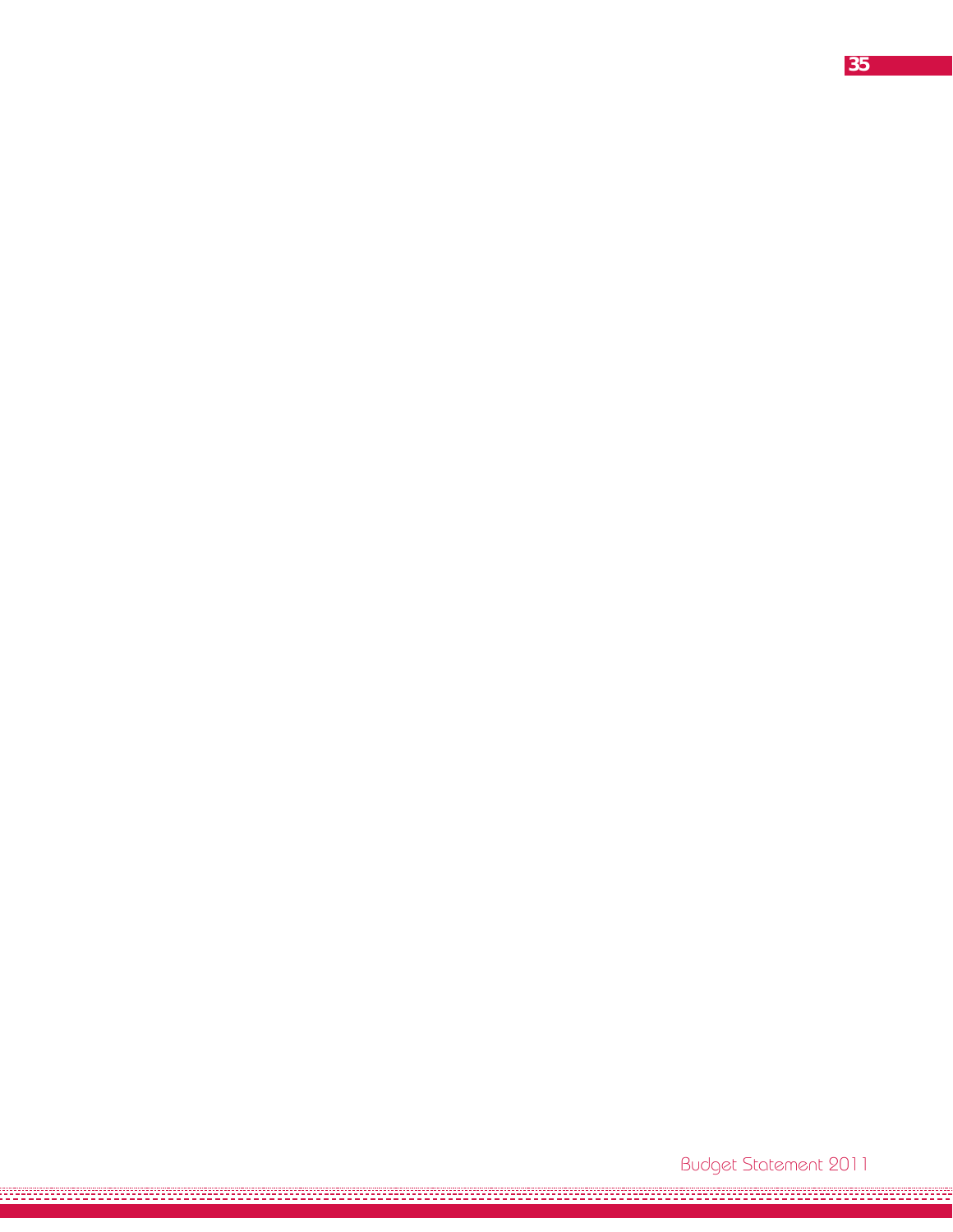**35**

72 E